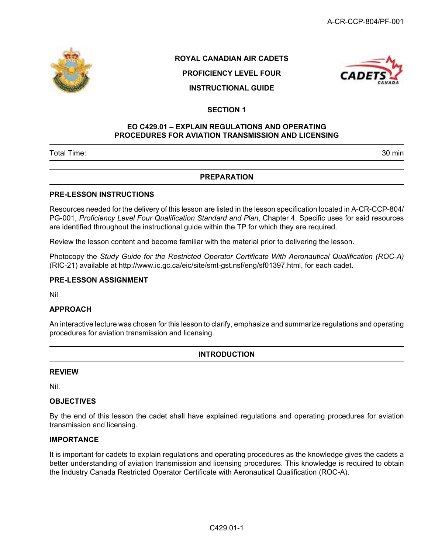

## **ROYAL CANADIAN AIR CADETS**

**PROFICIENCY LEVEL FOUR**



**INSTRUCTIONAL GUIDE**

## **SECTION 1**

## **EO C429.01 – EXPLAIN REGULATIONS AND OPERATING PROCEDURES FOR AVIATION TRANSMISSION AND LICENSING**

Total Time: 30 min

## **PREPARATION**

## **PRE-LESSON INSTRUCTIONS**

Resources needed for the delivery of this lesson are listed in the lesson specification located in A-CR-CCP-804/ PG-001, *Proficiency Level Four Qualification Standard and Plan*, Chapter 4. Specific uses for said resources are identified throughout the instructional guide within the TP for which they are required.

Review the lesson content and become familiar with the material prior to delivering the lesson.

Photocopy the *Study Guide for the Restricted Operator Certificate With Aeronautical Qualification (ROC-A)* (RIC-21) available at http://www.ic.gc.ca/eic/site/smt-gst.nsf/eng/sf01397.html, for each cadet.

## **PRE-LESSON ASSIGNMENT**

Nil.

## **APPROACH**

An interactive lecture was chosen for this lesson to clarify, emphasize and summarize regulations and operating procedures for aviation transmission and licensing.

## **INTRODUCTION**

## **REVIEW**

Nil.

#### **OBJECTIVES**

By the end of this lesson the cadet shall have explained regulations and operating procedures for aviation transmission and licensing.

#### **IMPORTANCE**

It is important for cadets to explain regulations and operating procedures as the knowledge gives the cadets a better understanding of aviation transmission and licensing procedures. This knowledge is required to obtain the Industry Canada Restricted Operator Certificate with Aeronautical Qualification (ROC-A).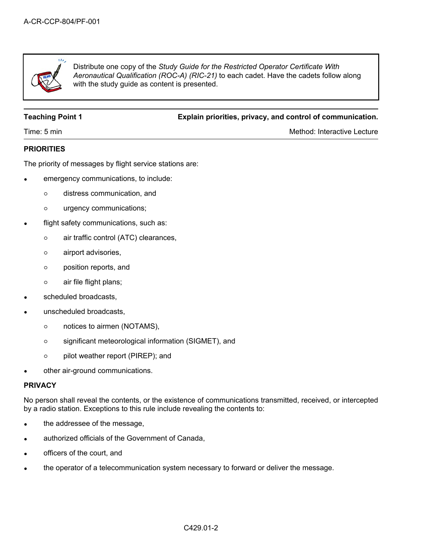

Distribute one copy of the *Study Guide for the Restricted Operator Certificate With Aeronautical Qualification (ROC-A) (RIC-21)* to each cadet. Have the cadets follow along with the study guide as content is presented.

**Teaching Point 1 Explain priorities, privacy, and control of communication.**

Time: 5 min Method: Interactive Lecture Companies and Method: Interactive Lecture

## **PRIORITIES**

The priority of messages by flight service stations are:

- emergency communications, to include:
	- $\circ$ distress communication, and
	- $\circ$ urgency communications;
- flight safety communications, such as:
	- $\circ$ air traffic control (ATC) clearances,
	- $\Omega$ airport advisories,
	- $\circ$ position reports, and
	- air file flight plans;  $\circ$
- scheduled broadcasts,
- unscheduled broadcasts,
	- notices to airmen (NOTAMS),  $\circ$
	- $\circ$ significant meteorological information (SIGMET), and
	- pilot weather report (PIREP); and  $\circ$
- other air-ground communications.

#### **PRIVACY**

No person shall reveal the contents, or the existence of communications transmitted, received, or intercepted by a radio station. Exceptions to this rule include revealing the contents to:

- the addressee of the message,
- authorized officials of the Government of Canada,
- officers of the court, and
- the operator of a telecommunication system necessary to forward or deliver the message.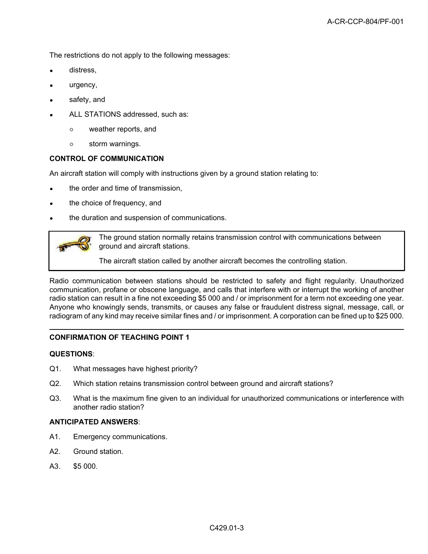The restrictions do not apply to the following messages:

- distress,
- urgency,
- safety, and
- ALL STATIONS addressed, such as:
	- $\circ$ weather reports, and
	- $\circ$ storm warnings.

#### **CONTROL OF COMMUNICATION**

An aircraft station will comply with instructions given by a ground station relating to:

- the order and time of transmission,
- the choice of frequency, and
- the duration and suspension of communications.



The ground station normally retains transmission control with communications between ground and aircraft stations.

The aircraft station called by another aircraft becomes the controlling station.

Radio communication between stations should be restricted to safety and flight regularity. Unauthorized communication, profane or obscene language, and calls that interfere with or interrupt the working of another radio station can result in a fine not exceeding \$5 000 and / or imprisonment for a term not exceeding one year. Anyone who knowingly sends, transmits, or causes any false or fraudulent distress signal, message, call, or radiogram of any kind may receive similar fines and / or imprisonment. A corporation can be fined up to \$25 000.

## **CONFIRMATION OF TEACHING POINT 1**

#### **QUESTIONS**:

- Q1. What messages have highest priority?
- Q2. Which station retains transmission control between ground and aircraft stations?
- Q3. What is the maximum fine given to an individual for unauthorized communications or interference with another radio station?

#### **ANTICIPATED ANSWERS**:

- A1. Emergency communications.
- A2. Ground station.
- A3. \$5 000.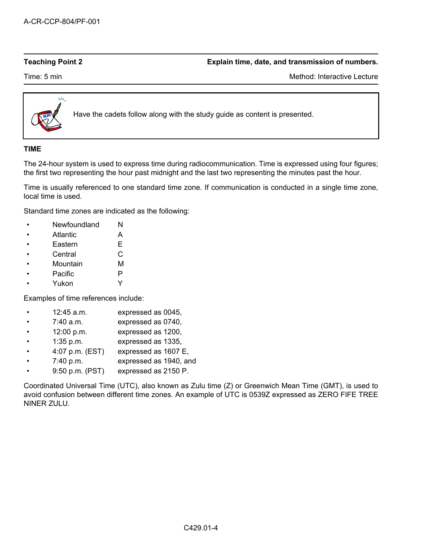**Teaching Point 2 Explain time, date, and transmission of numbers.**

Time: 5 min Method: Interactive Lecture



Have the cadets follow along with the study guide as content is presented.

#### **TIME**

The 24-hour system is used to express time during radiocommunication. Time is expressed using four figures; the first two representing the hour past midnight and the last two representing the minutes past the hour.

Time is usually referenced to one standard time zone. If communication is conducted in a single time zone, local time is used.

Standard time zones are indicated as the following:

- Newfoundland N
- Atlantic A
- Eastern E
- Central C
- Mountain M
- Pacific P
- Yukon Y

Examples of time references include:

- 12:45 a.m. expressed as 0045,
- 7:40 a.m. expressed as 0740,
- 12:00 p.m. expressed as 1200,
- 1:35 p.m. expressed as 1335,
- 4:07 p.m. (EST) expressed as 1607 E,
- 7:40 p.m. expressed as 1940, and
- 9:50 p.m. (PST) expressed as 2150 P.

Coordinated Universal Time (UTC), also known as Zulu time (Z) or Greenwich Mean Time (GMT), is used to avoid confusion between different time zones. An example of UTC is 0539Z expressed as ZERO FIFE TREE NINER ZULU.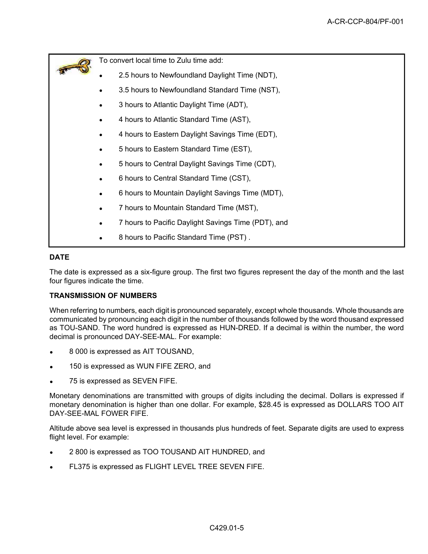To convert local time to Zulu time add:

- 2.5 hours to Newfoundland Daylight Time (NDT),
- 3.5 hours to Newfoundland Standard Time (NST),
- 3 hours to Atlantic Daylight Time (ADT),
- 4 hours to Atlantic Standard Time (AST),
- 4 hours to Eastern Daylight Savings Time (EDT),
- 5 hours to Eastern Standard Time (EST),
- 5 hours to Central Daylight Savings Time (CDT),
- 6 hours to Central Standard Time (CST),
- 6 hours to Mountain Daylight Savings Time (MDT),
- 7 hours to Mountain Standard Time (MST),
- 7 hours to Pacific Daylight Savings Time (PDT), and
- 8 hours to Pacific Standard Time (PST) .

#### **DATE**

The date is expressed as a six-figure group. The first two figures represent the day of the month and the last four figures indicate the time.

## **TRANSMISSION OF NUMBERS**

When referring to numbers, each digit is pronounced separately, except whole thousands. Whole thousands are communicated by pronouncing each digit in the number of thousands followed by the word thousand expressed as TOU-SAND. The word hundred is expressed as HUN-DRED. If a decimal is within the number, the word decimal is pronounced DAY-SEE-MAL. For example:

- 8 000 is expressed as AIT TOUSAND,
- 150 is expressed as WUN FIFE ZERO, and
- 75 is expressed as SEVEN FIFE.

Monetary denominations are transmitted with groups of digits including the decimal. Dollars is expressed if monetary denomination is higher than one dollar. For example, \$28.45 is expressed as DOLLARS TOO AIT DAY-SEE-MAL FOWER FIFE.

Altitude above sea level is expressed in thousands plus hundreds of feet. Separate digits are used to express flight level. For example:

- 2 800 is expressed as TOO TOUSAND AIT HUNDRED, and
- FL375 is expressed as FLIGHT LEVEL TREE SEVEN FIFE.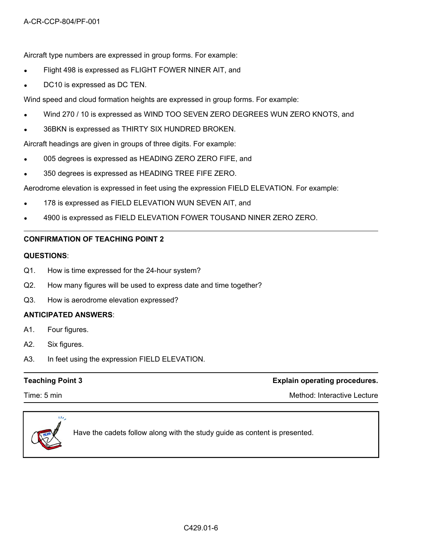Aircraft type numbers are expressed in group forms. For example:

- Flight 498 is expressed as FLIGHT FOWER NINER AIT, and
- DC10 is expressed as DC TEN.

Wind speed and cloud formation heights are expressed in group forms. For example:

- Wind 270 / 10 is expressed as WIND TOO SEVEN ZERO DEGREES WUN ZERO KNOTS, and
- 36BKN is expressed as THIRTY SIX HUNDRED BROKEN.

Aircraft headings are given in groups of three digits. For example:

- 005 degrees is expressed as HEADING ZERO ZERO FIFE, and
- 350 degrees is expressed as HEADING TREE FIFE ZERO.

Aerodrome elevation is expressed in feet using the expression FIELD ELEVATION. For example:

- 178 is expressed as FIELD ELEVATION WUN SEVEN AIT, and
- 4900 is expressed as FIELD ELEVATION FOWER TOUSAND NINER ZERO ZERO.

## **CONFIRMATION OF TEACHING POINT 2**

#### **QUESTIONS**:

- Q1. How is time expressed for the 24-hour system?
- Q2. How many figures will be used to express date and time together?
- Q3. How is aerodrome elevation expressed?

## **ANTICIPATED ANSWERS**:

- A1. Four figures.
- A2. Six figures.
- A3. In feet using the expression FIELD ELEVATION.

**Teaching Point 3 Explain operating procedures.**

Time: 5 min Method: Interactive Lecture Company of Time: 5 min Method: Interactive Lecture



Have the cadets follow along with the study guide as content is presented.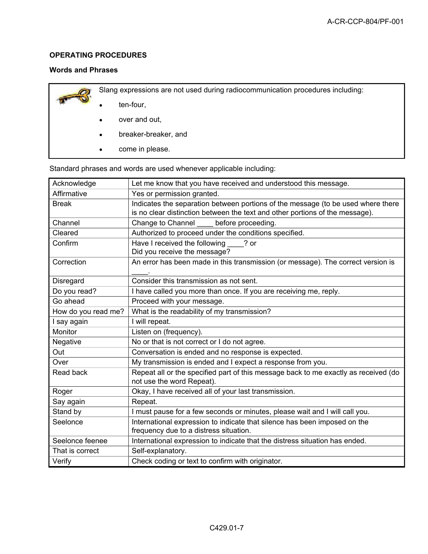## **OPERATING PROCEDURES**

## **Words and Phrases**

| Slang expressions are not used during radiocommunication procedures including: |                      |  |
|--------------------------------------------------------------------------------|----------------------|--|
| ten-four,<br>$\bullet$                                                         |                      |  |
| $\bullet$                                                                      | over and out,        |  |
| $\bullet$                                                                      | breaker-breaker, and |  |
|                                                                                | come in please.      |  |

Standard phrases and words are used whenever applicable including:

| Acknowledge         | Let me know that you have received and understood this message.                                                                                                  |
|---------------------|------------------------------------------------------------------------------------------------------------------------------------------------------------------|
| Affirmative         | Yes or permission granted.                                                                                                                                       |
| <b>Break</b>        | Indicates the separation between portions of the message (to be used where there<br>is no clear distinction between the text and other portions of the message). |
| Channel             | Change to Channel _____ before proceeding.                                                                                                                       |
| Cleared             | Authorized to proceed under the conditions specified.                                                                                                            |
| Confirm             | Have I received the following ? or                                                                                                                               |
|                     | Did you receive the message?                                                                                                                                     |
| Correction          | An error has been made in this transmission (or message). The correct version is                                                                                 |
| Disregard           | Consider this transmission as not sent.                                                                                                                          |
| Do you read?        | I have called you more than once. If you are receiving me, reply.                                                                                                |
| Go ahead            | Proceed with your message.                                                                                                                                       |
| How do you read me? | What is the readability of my transmission?                                                                                                                      |
| I say again         | I will repeat.                                                                                                                                                   |
| Monitor             | Listen on (frequency).                                                                                                                                           |
| Negative            | No or that is not correct or I do not agree.                                                                                                                     |
| Out                 | Conversation is ended and no response is expected.                                                                                                               |
| Over                | My transmission is ended and I expect a response from you.                                                                                                       |
| Read back           | Repeat all or the specified part of this message back to me exactly as received (do<br>not use the word Repeat).                                                 |
| Roger               | Okay, I have received all of your last transmission.                                                                                                             |
| Say again           | Repeat.                                                                                                                                                          |
| Stand by            | I must pause for a few seconds or minutes, please wait and I will call you.                                                                                      |
| Seelonce            | International expression to indicate that silence has been imposed on the                                                                                        |
|                     | frequency due to a distress situation.                                                                                                                           |
| Seelonce feenee     | International expression to indicate that the distress situation has ended.                                                                                      |
| That is correct     | Self-explanatory.                                                                                                                                                |
| Verify              | Check coding or text to confirm with originator.                                                                                                                 |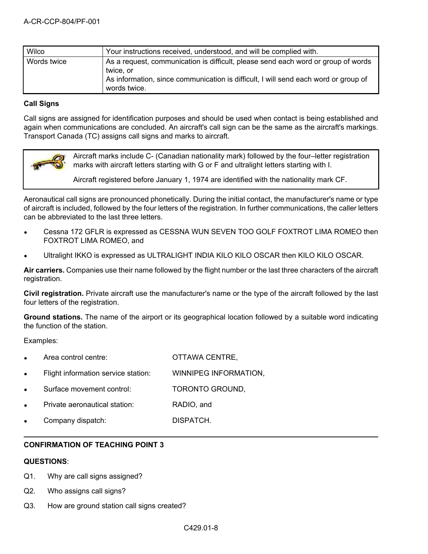| Wilco       | Your instructions received, understood, and will be complied with.                                                                                                                                    |
|-------------|-------------------------------------------------------------------------------------------------------------------------------------------------------------------------------------------------------|
| Words twice | As a request, communication is difficult, please send each word or group of words<br>twice, or<br>As information, since communication is difficult, I will send each word or group of<br>words twice. |

## **Call Signs**

Call signs are assigned for identification purposes and should be used when contact is being established and again when communications are concluded. An aircraft's call sign can be the same as the aircraft's markings. Transport Canada (TC) assigns call signs and marks to aircraft.



Aircraft marks include C- (Canadian nationality mark) followed by the four–letter registration marks with aircraft letters starting with G or F and ultralight letters starting with I.

Aircraft registered before January 1, 1974 are identified with the nationality mark CF.

Aeronautical call signs are pronounced phonetically. During the initial contact, the manufacturer's name or type of aircraft is included, followed by the four letters of the registration. In further communications, the caller letters can be abbreviated to the last three letters.

- Cessna 172 GFLR is expressed as CESSNA WUN SEVEN TOO GOLF FOXTROT LIMA ROMEO then FOXTROT LIMA ROMEO, and
- Ultralight IKKO is expressed as ULTRALIGHT INDIA KILO KILO OSCAR then KILO KILO OSCAR.

**Air carriers.** Companies use their name followed by the flight number or the last three characters of the aircraft registration.

**Civil registration.** Private aircraft use the manufacturer's name or the type of the aircraft followed by the last four letters of the registration.

**Ground stations.** The name of the airport or its geographical location followed by a suitable word indicating the function of the station.

Examples:

| $\bullet$ | Area control centre:                | OTTAWA CENTRE,        |
|-----------|-------------------------------------|-----------------------|
| $\bullet$ | Flight information service station: | WINNIPEG INFORMATION, |
| $\bullet$ | Surface movement control:           | TORONTO GROUND,       |
| $\bullet$ | Private aeronautical station:       | RADIO, and            |
| $\bullet$ | Company dispatch:                   | DISPATCH.             |

## **CONFIRMATION OF TEACHING POINT 3**

## **QUESTIONS**:

- Q1. Why are call signs assigned?
- Q2. Who assigns call signs?
- Q3. How are ground station call signs created?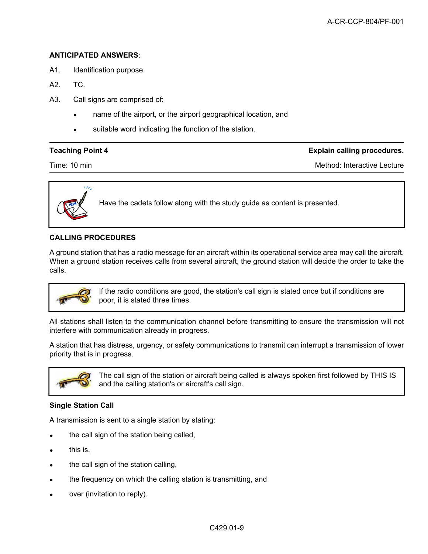## **ANTICIPATED ANSWERS**:

- A1. Identification purpose.
- A2. TC.
- A3. Call signs are comprised of:
	- $\bullet$ name of the airport, or the airport geographical location, and
	- suitable word indicating the function of the station.  $\bullet$

#### **Teaching Point 4 Explain calling procedures.**

Time: 10 min Method: Interactive Lecture Communication of the Method: Interactive Lecture



Have the cadets follow along with the study guide as content is presented.

## **CALLING PROCEDURES**

A ground station that has a radio message for an aircraft within its operational service area may call the aircraft. When a ground station receives calls from several aircraft, the ground station will decide the order to take the calls.



If the radio conditions are good, the station's call sign is stated once but if conditions are poor, it is stated three times.

All stations shall listen to the communication channel before transmitting to ensure the transmission will not interfere with communication already in progress.

A station that has distress, urgency, or safety communications to transmit can interrupt a transmission of lower priority that is in progress.



The call sign of the station or aircraft being called is always spoken first followed by THIS IS and the calling station's or aircraft's call sign.

## **Single Station Call**

A transmission is sent to a single station by stating:

- the call sign of the station being called,
- this is,
- the call sign of the station calling,
- the frequency on which the calling station is transmitting, and
- over (invitation to reply).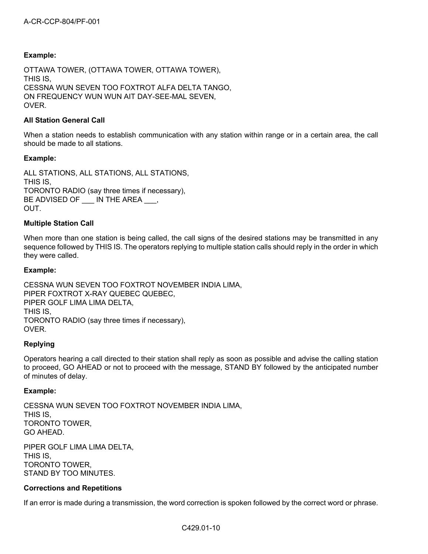## **Example:**

OTTAWA TOWER, (OTTAWA TOWER, OTTAWA TOWER), THIS IS, CESSNA WUN SEVEN TOO FOXTROT ALFA DELTA TANGO, ON FREQUENCY WUN WUN AIT DAY-SEE-MAL SEVEN, OVER.

## **All Station General Call**

When a station needs to establish communication with any station within range or in a certain area, the call should be made to all stations.

#### **Example:**

ALL STATIONS, ALL STATIONS, ALL STATIONS, THIS IS, TORONTO RADIO (say three times if necessary), BE ADVISED OF \_\_\_ IN THE AREA \_\_\_, OUT.

## **Multiple Station Call**

When more than one station is being called, the call signs of the desired stations may be transmitted in any sequence followed by THIS IS. The operators replying to multiple station calls should reply in the order in which they were called.

#### **Example:**

CESSNA WUN SEVEN TOO FOXTROT NOVEMBER INDIA LIMA, PIPER FOXTROT X-RAY QUEBEC QUEBEC, PIPER GOLF LIMA LIMA DELTA, THIS IS, TORONTO RADIO (say three times if necessary), OVER.

#### **Replying**

Operators hearing a call directed to their station shall reply as soon as possible and advise the calling station to proceed, GO AHEAD or not to proceed with the message, STAND BY followed by the anticipated number of minutes of delay.

#### **Example:**

CESSNA WUN SEVEN TOO FOXTROT NOVEMBER INDIA LIMA, THIS IS, TORONTO TOWER, GO AHEAD.

PIPER GOLF LIMA LIMA DELTA, THIS IS, TORONTO TOWER, STAND BY TOO MINUTES.

#### **Corrections and Repetitions**

If an error is made during a transmission, the word correction is spoken followed by the correct word or phrase.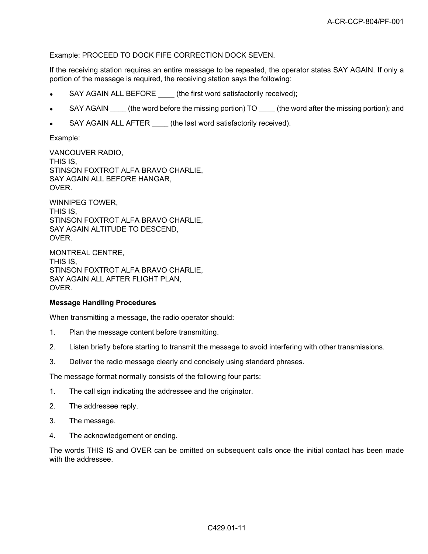Example: PROCEED TO DOCK FIFE CORRECTION DOCK SEVEN.

If the receiving station requires an entire message to be repeated, the operator states SAY AGAIN. If only a portion of the message is required, the receiving station says the following:

- SAY AGAIN ALL BEFORE (the first word satisfactorily received);
- SAY AGAIN (the word before the missing portion) TO (the word after the missing portion); and
- SAY AGAIN ALL AFTER \_\_\_\_ (the last word satisfactorily received).

Example:

VANCOUVER RADIO, THIS IS, STINSON FOXTROT ALFA BRAVO CHARLIE, SAY AGAIN ALL BEFORE HANGAR, OVER.

WINNIPEG TOWER, THIS IS, STINSON FOXTROT ALFA BRAVO CHARLIE, SAY AGAIN ALTITUDE TO DESCEND, OVER.

MONTREAL CENTRE, THIS IS, STINSON FOXTROT ALFA BRAVO CHARLIE, SAY AGAIN ALL AFTER FLIGHT PLAN, OVER.

#### **Message Handling Procedures**

When transmitting a message, the radio operator should:

- 1. Plan the message content before transmitting.
- 2. Listen briefly before starting to transmit the message to avoid interfering with other transmissions.
- 3. Deliver the radio message clearly and concisely using standard phrases.

The message format normally consists of the following four parts:

- 1. The call sign indicating the addressee and the originator.
- 2. The addressee reply.
- 3. The message.
- 4. The acknowledgement or ending.

The words THIS IS and OVER can be omitted on subsequent calls once the initial contact has been made with the addressee.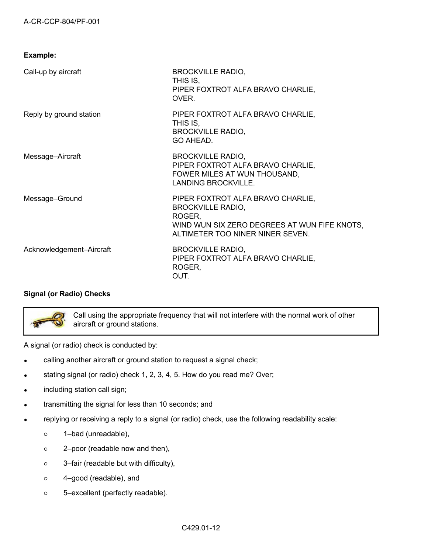| Example:                 |                                                                                                                                                             |
|--------------------------|-------------------------------------------------------------------------------------------------------------------------------------------------------------|
| Call-up by aircraft      | <b>BROCKVILLE RADIO,</b><br>THIS IS,<br>PIPER FOXTROT ALFA BRAVO CHARLIE,<br>OVER.                                                                          |
| Reply by ground station  | PIPER FOXTROT ALFA BRAVO CHARLIE,<br>THIS IS,<br><b>BROCKVILLE RADIO,</b><br>GO AHEAD.                                                                      |
| Message-Aircraft         | <b>BROCKVILLE RADIO,</b><br>PIPER FOXTROT ALFA BRAVO CHARLIE,<br>FOWER MILES AT WUN THOUSAND,<br><b>LANDING BROCKVILLE.</b>                                 |
| Message-Ground           | PIPER FOXTROT ALFA BRAVO CHARLIE,<br><b>BROCKVILLE RADIO,</b><br>ROGER,<br>WIND WUN SIX ZERO DEGREES AT WUN FIFE KNOTS,<br>ALTIMETER TOO NINER NINER SEVEN. |
| Acknowledgement-Aircraft | <b>BROCKVILLE RADIO,</b><br>PIPER FOXTROT ALFA BRAVO CHARLIE,<br>ROGER,<br>OUT.                                                                             |

## **Signal (or Radio) Checks**

Call using the appropriate frequency that will not interfere with the normal work of other aircraft or ground stations.

A signal (or radio) check is conducted by:

- calling another aircraft or ground station to request a signal check;
- stating signal (or radio) check 1, 2, 3, 4, 5. How do you read me? Over;  $\bullet$
- including station call sign;  $\bullet$
- transmitting the signal for less than 10 seconds; and  $\bullet$
- replying or receiving a reply to a signal (or radio) check, use the following readability scale:  $\bullet$ 
	- $\circ$ 1–bad (unreadable),
	- $\circ$ 2–poor (readable now and then),
	- $\circ$ 3–fair (readable but with difficulty),
	- 4–good (readable), and  $\circ$
	- 5–excellent (perfectly readable). $\circ$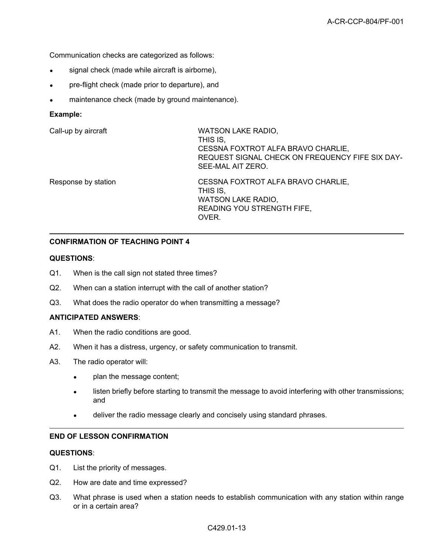Communication checks are categorized as follows:

- signal check (made while aircraft is airborne),
- pre-flight check (made prior to departure), and
- maintenance check (made by ground maintenance).

#### **Example:**

Call-up by aircraft WATSON LAKE RADIO, THIS IS, CESSNA FOXTROT ALFA BRAVO CHARLIE, REQUEST SIGNAL CHECK ON FREQUENCY FIFE SIX DAY-SEE-MAL AIT ZERO.

Response by station The CESSNA FOXTROT ALFA BRAVO CHARLIE, THIS IS, WATSON LAKE RADIO, READING YOU STRENGTH FIFE, OVER.

## **CONFIRMATION OF TEACHING POINT 4**

#### **QUESTIONS**:

- Q1. When is the call sign not stated three times?
- Q2. When can a station interrupt with the call of another station?
- Q3. What does the radio operator do when transmitting a message?

#### **ANTICIPATED ANSWERS**:

- A1. When the radio conditions are good.
- A2. When it has a distress, urgency, or safety communication to transmit.
- A3. The radio operator will:
	- plan the message content;  $\bullet$
	- listen briefly before starting to transmit the message to avoid interfering with other transmissions;  $\bullet$ and
	- deliver the radio message clearly and concisely using standard phrases.  $\bullet$

#### **END OF LESSON CONFIRMATION**

#### **QUESTIONS**:

- Q1. List the priority of messages.
- Q2. How are date and time expressed?
- Q3. What phrase is used when a station needs to establish communication with any station within range or in a certain area?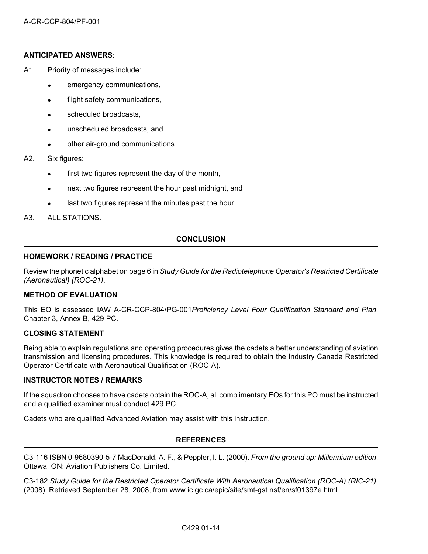### **ANTICIPATED ANSWERS**:

- A1. Priority of messages include:
	- emergency communications,  $\bullet$
	- flight safety communications,  $\bullet$
	- scheduled broadcasts,  $\bullet$
	- unscheduled broadcasts, and  $\bullet$
	- $\bullet$ other air-ground communications.

#### A2. Six figures:

- first two figures represent the day of the month,  $\bullet$
- next two figures represent the hour past midnight, and  $\bullet$
- last two figures represent the minutes past the hour.

A3. ALL STATIONS.

#### **CONCLUSION**

#### **HOMEWORK / READING / PRACTICE**

Review the phonetic alphabet on page 6 in *Study Guide for the Radiotelephone Operator's Restricted Certificate (Aeronautical) (ROC-21)*.

#### **METHOD OF EVALUATION**

This EO is assessed IAW A-CR-CCP-804/PG-001*Proficiency Level Four Qualification Standard and Plan*, Chapter 3, Annex B, 429 PC.

#### **CLOSING STATEMENT**

Being able to explain regulations and operating procedures gives the cadets a better understanding of aviation transmission and licensing procedures. This knowledge is required to obtain the Industry Canada Restricted Operator Certificate with Aeronautical Qualification (ROC-A).

#### **INSTRUCTOR NOTES / REMARKS**

If the squadron chooses to have cadets obtain the ROC-A, all complimentary EOs for this PO must be instructed and a qualified examiner must conduct 429 PC.

Cadets who are qualified Advanced Aviation may assist with this instruction.

## **REFERENCES**

C3-116 ISBN 0-9680390-5-7 MacDonald, A. F., & Peppler, I. L. (2000). *From the ground up: Millennium edition*. Ottawa, ON: Aviation Publishers Co. Limited.

C3-182 *Study Guide for the Restricted Operator Certificate With Aeronautical Qualification (ROC-A) (RIC-21)*. (2008). Retrieved September 28, 2008, from www.ic.gc.ca/epic/site/smt-gst.nsf/en/sf01397e.html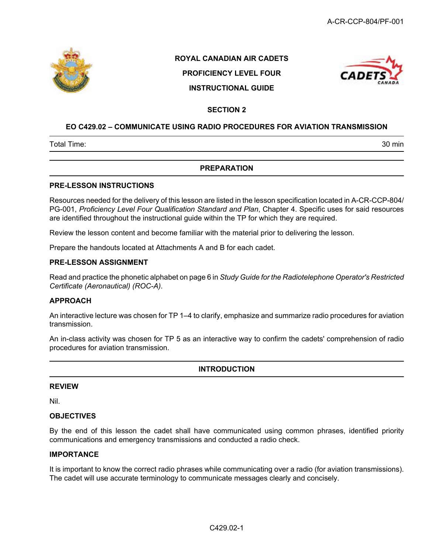

# **ROYAL CANADIAN AIR CADETS PROFICIENCY LEVEL FOUR INSTRUCTIONAL GUIDE**



## **SECTION 2**

## **EO C429.02 – COMMUNICATE USING RADIO PROCEDURES FOR AVIATION TRANSMISSION**

Total Time: 30 min

## **PREPARATION**

#### **PRE-LESSON INSTRUCTIONS**

Resources needed for the delivery of this lesson are listed in the lesson specification located in A-CR-CCP-804/ PG-001, *Proficiency Level Four Qualification Standard and Plan*, Chapter 4. Specific uses for said resources are identified throughout the instructional guide within the TP for which they are required.

Review the lesson content and become familiar with the material prior to delivering the lesson.

Prepare the handouts located at Attachments A and B for each cadet.

#### **PRE-LESSON ASSIGNMENT**

Read and practice the phonetic alphabet on page 6 in *Study Guide for the Radiotelephone Operator's Restricted Certificate (Aeronautical) (ROC-A)*.

## **APPROACH**

An interactive lecture was chosen for TP 1–4 to clarify, emphasize and summarize radio procedures for aviation transmission.

An in-class activity was chosen for TP 5 as an interactive way to confirm the cadets' comprehension of radio procedures for aviation transmission.

## **INTRODUCTION**

#### **REVIEW**

Nil.

## **OBJECTIVES**

By the end of this lesson the cadet shall have communicated using common phrases, identified priority communications and emergency transmissions and conducted a radio check.

#### **IMPORTANCE**

It is important to know the correct radio phrases while communicating over a radio (for aviation transmissions). The cadet will use accurate terminology to communicate messages clearly and concisely.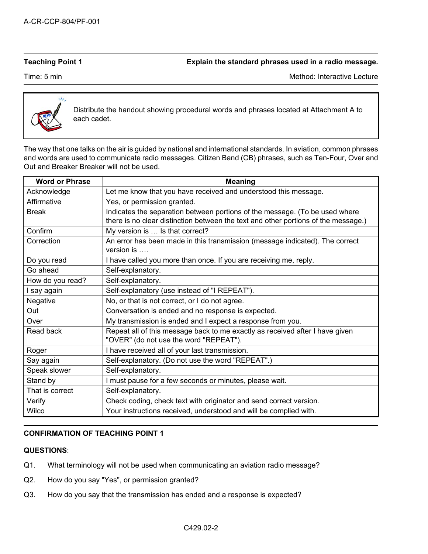**Teaching Point 1 Explain the standard phrases used in a radio message.**

Time: 5 min Method: Interactive Lecture Company of Time: 5 min Method: Interactive Lecture



Distribute the handout showing procedural words and phrases located at Attachment A to each cadet.

The way that one talks on the air is guided by national and international standards. In aviation, common phrases and words are used to communicate radio messages. Citizen Band (CB) phrases, such as Ten-Four, Over and Out and Breaker Breaker will not be used.

| <b>Word or Phrase</b> | <b>Meaning</b>                                                                                                                                                    |
|-----------------------|-------------------------------------------------------------------------------------------------------------------------------------------------------------------|
| Acknowledge           | Let me know that you have received and understood this message.                                                                                                   |
| Affirmative           | Yes, or permission granted.                                                                                                                                       |
| <b>Break</b>          | Indicates the separation between portions of the message. (To be used where<br>there is no clear distinction between the text and other portions of the message.) |
| Confirm               | My version is  Is that correct?                                                                                                                                   |
| Correction            | An error has been made in this transmission (message indicated). The correct<br>version is                                                                        |
| Do you read           | I have called you more than once. If you are receiving me, reply.                                                                                                 |
| Go ahead              | Self-explanatory.                                                                                                                                                 |
| How do you read?      | Self-explanatory.                                                                                                                                                 |
| I say again           | Self-explanatory (use instead of "I REPEAT").                                                                                                                     |
| Negative              | No, or that is not correct, or I do not agree.                                                                                                                    |
| Out                   | Conversation is ended and no response is expected.                                                                                                                |
| Over                  | My transmission is ended and I expect a response from you.                                                                                                        |
| Read back             | Repeat all of this message back to me exactly as received after I have given<br>"OVER" (do not use the word "REPEAT").                                            |
| Roger                 | I have received all of your last transmission.                                                                                                                    |
| Say again             | Self-explanatory. (Do not use the word "REPEAT".)                                                                                                                 |
| Speak slower          | Self-explanatory.                                                                                                                                                 |
| Stand by              | I must pause for a few seconds or minutes, please wait.                                                                                                           |
| That is correct       | Self-explanatory.                                                                                                                                                 |
| Verify                | Check coding, check text with originator and send correct version.                                                                                                |
| Wilco                 | Your instructions received, understood and will be complied with.                                                                                                 |

## **CONFIRMATION OF TEACHING POINT 1**

## **QUESTIONS**:

- Q1. What terminology will not be used when communicating an aviation radio message?
- Q2. How do you say "Yes", or permission granted?
- Q3. How do you say that the transmission has ended and a response is expected?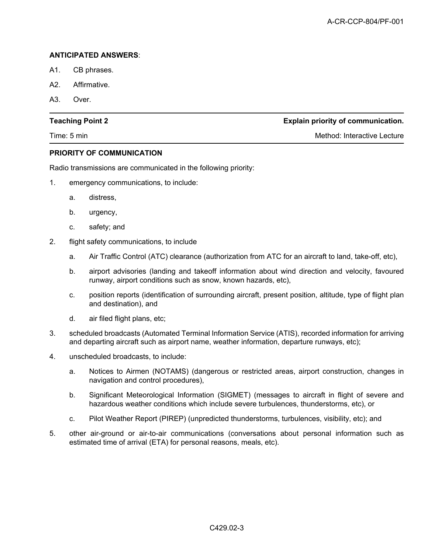## **ANTICIPATED ANSWERS**:

- A1. CB phrases.
- A2. Affirmative.
- A3. Over.

# **Teaching Point 2 Explain priority of communication.**

Time: 5 min Method: Interactive Lecture Company of Time: 5 min Method: Interactive Lecture

## **PRIORITY OF COMMUNICATION**

Radio transmissions are communicated in the following priority:

- 1. emergency communications, to include:
	- a. distress,
	- b. urgency,
	- c. safety; and
- 2. flight safety communications, to include
	- a. Air Traffic Control (ATC) clearance (authorization from ATC for an aircraft to land, take-off, etc),
	- b. airport advisories (landing and takeoff information about wind direction and velocity, favoured runway, airport conditions such as snow, known hazards, etc),
	- c. position reports (identification of surrounding aircraft, present position, altitude, type of flight plan and destination), and
	- d. air filed flight plans, etc;
- 3. scheduled broadcasts (Automated Terminal Information Service (ATIS), recorded information for arriving and departing aircraft such as airport name, weather information, departure runways, etc);
- 4. unscheduled broadcasts, to include:
	- a. Notices to Airmen (NOTAMS) (dangerous or restricted areas, airport construction, changes in navigation and control procedures),
	- b. Significant Meteorological Information (SIGMET) (messages to aircraft in flight of severe and hazardous weather conditions which include severe turbulences, thunderstorms, etc), or
	- c. Pilot Weather Report (PIREP) (unpredicted thunderstorms, turbulences, visibility, etc); and
- 5. other air-ground or air-to-air communications (conversations about personal information such as estimated time of arrival (ETA) for personal reasons, meals, etc).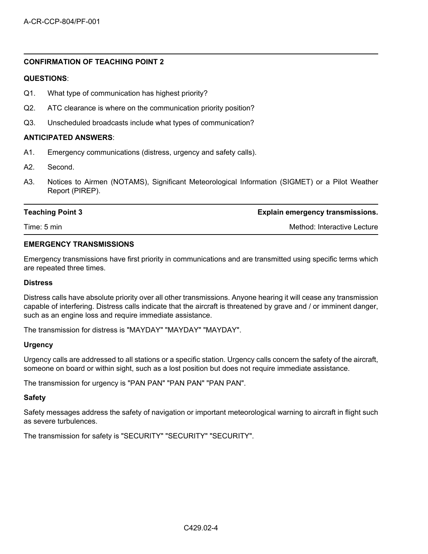## **CONFIRMATION OF TEACHING POINT 2**

## **QUESTIONS**:

- Q1. What type of communication has highest priority?
- Q2. ATC clearance is where on the communication priority position?
- Q3. Unscheduled broadcasts include what types of communication?

## **ANTICIPATED ANSWERS**:

- A1. Emergency communications (distress, urgency and safety calls).
- A2. Second.
- A3. Notices to Airmen (NOTAMS), Significant Meteorological Information (SIGMET) or a Pilot Weather Report (PIREP).

| <b>Teaching Point 3</b> | <b>Explain emergency transmissions.</b> |
|-------------------------|-----------------------------------------|
| Time: 5 min             | Method: Interactive Lecture             |

## **EMERGENCY TRANSMISSIONS**

Emergency transmissions have first priority in communications and are transmitted using specific terms which are repeated three times.

## **Distress**

Distress calls have absolute priority over all other transmissions. Anyone hearing it will cease any transmission capable of interfering. Distress calls indicate that the aircraft is threatened by grave and / or imminent danger, such as an engine loss and require immediate assistance.

The transmission for distress is "MAYDAY" "MAYDAY" "MAYDAY".

## **Urgency**

Urgency calls are addressed to all stations or a specific station. Urgency calls concern the safety of the aircraft, someone on board or within sight, such as a lost position but does not require immediate assistance.

The transmission for urgency is "PAN PAN" "PAN PAN" "PAN PAN".

## **Safety**

Safety messages address the safety of navigation or important meteorological warning to aircraft in flight such as severe turbulences.

The transmission for safety is "SECURITY" "SECURITY" "SECURITY".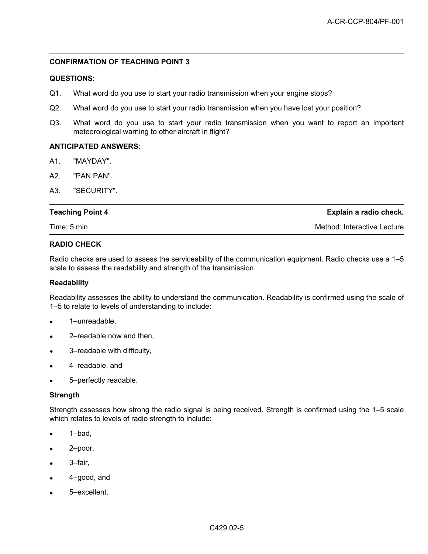## **CONFIRMATION OF TEACHING POINT 3**

#### **QUESTIONS**:

- Q1. What word do you use to start your radio transmission when your engine stops?
- Q2. What word do you use to start your radio transmission when you have lost your position?
- Q3. What word do you use to start your radio transmission when you want to report an important meteorological warning to other aircraft in flight?

#### **ANTICIPATED ANSWERS**:

- A1. "MAYDAY".
- A2. "PAN PAN".
- A3. "SECURITY".

| <b>Teaching Point 4</b> | Explain a radio check. |
|-------------------------|------------------------|
|                         |                        |

Time: 5 min Method: Interactive Lecture Company of Time: 5 min Method: Interactive Lecture

#### **RADIO CHECK**

Radio checks are used to assess the serviceability of the communication equipment. Radio checks use a 1–5 scale to assess the readability and strength of the transmission.

#### **Readability**

Readability assesses the ability to understand the communication. Readability is confirmed using the scale of 1–5 to relate to levels of understanding to include:

- 1–unreadable,
- 2–readable now and then,
- 3–readable with difficulty,
- 4–readable, and
- 5–perfectly readable.

#### **Strength**

Strength assesses how strong the radio signal is being received. Strength is confirmed using the 1–5 scale which relates to levels of radio strength to include:

- 1–bad,  $\bullet$
- 2–poor,
- 3–fair,
- 4–good, and
- 5–excellent.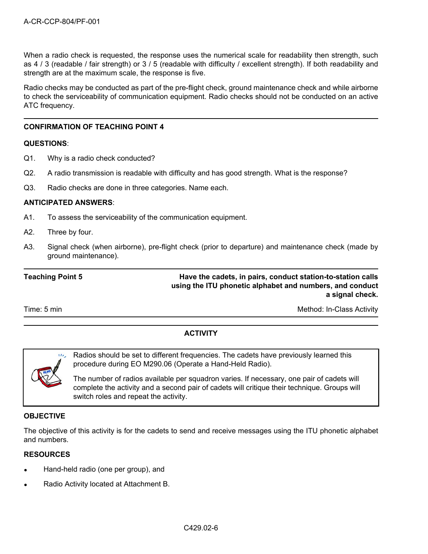When a radio check is requested, the response uses the numerical scale for readability then strength, such as 4 / 3 (readable / fair strength) or 3 / 5 (readable with difficulty / excellent strength). If both readability and strength are at the maximum scale, the response is five.

Radio checks may be conducted as part of the pre-flight check, ground maintenance check and while airborne to check the serviceability of communication equipment. Radio checks should not be conducted on an active ATC frequency.

## **CONFIRMATION OF TEACHING POINT 4**

#### **QUESTIONS**:

- Q1. Why is a radio check conducted?
- Q2. A radio transmission is readable with difficulty and has good strength. What is the response?
- Q3. Radio checks are done in three categories. Name each.

#### **ANTICIPATED ANSWERS**:

- A1. To assess the serviceability of the communication equipment.
- A2. Three by four.
- A3. Signal check (when airborne), pre-flight check (prior to departure) and maintenance check (made by ground maintenance).

**Teaching Point 5 Have the cadets, in pairs, conduct station-to-station calls using the ITU phonetic alphabet and numbers, and conduct a signal check.**

Time: 5 min Method: In-Class Activity

#### **ACTIVITY**



Radios should be set to different frequencies. The cadets have previously learned this procedure during EO M290.06 (Operate a Hand-Held Radio).

The number of radios available per squadron varies. If necessary, one pair of cadets will complete the activity and a second pair of cadets will critique their technique. Groups will switch roles and repeat the activity.

## **OBJECTIVE**

The objective of this activity is for the cadets to send and receive messages using the ITU phonetic alphabet and numbers.

## **RESOURCES**

- Hand-held radio (one per group), and
- Radio Activity located at Attachment B. $\bullet$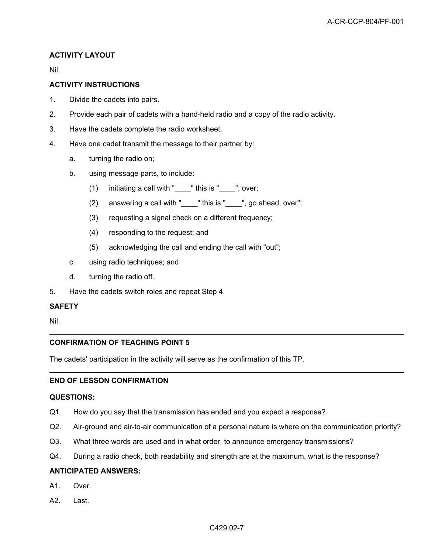## **ACTIVITY LAYOUT**

Nil.

## **ACTIVITY INSTRUCTIONS**

- 1. Divide the cadets into pairs.
- 2. Provide each pair of cadets with a hand-held radio and a copy of the radio activity.
- 3. Have the cadets complete the radio worksheet.
- 4. Have one cadet transmit the message to their partner by:
	- a. turning the radio on;
	- b. using message parts, to include:
		- (1) initiating a call with " $\frac{1}{\cdot}$ " this is " $\frac{1}{\cdot}$ , over;
		- (2) answering a call with "\_\_\_\_" this is "\_\_\_\_", go ahead, over";
		- (3) requesting a signal check on a different frequency;
		- (4) responding to the request; and
		- (5) acknowledging the call and ending the call with "out";
	- c. using radio techniques; and
	- d. turning the radio off.
- 5. Have the cadets switch roles and repeat Step 4.

## **SAFETY**

Nil.

## **CONFIRMATION OF TEACHING POINT 5**

The cadets' participation in the activity will serve as the confirmation of this TP.

## **END OF LESSON CONFIRMATION**

#### **QUESTIONS:**

- Q1. How do you say that the transmission has ended and you expect a response?
- Q2. Air-ground and air-to-air communication of a personal nature is where on the communication priority?
- Q3. What three words are used and in what order, to announce emergency transmissions?
- Q4. During a radio check, both readability and strength are at the maximum, what is the response?

## **ANTICIPATED ANSWERS:**

- A1. Over.
- A2. Last.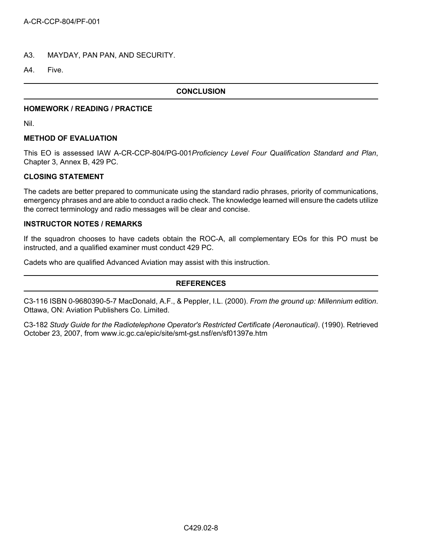- A3. MAYDAY, PAN PAN, AND SECURITY.
- A4. Five.

#### **CONCLUSION**

#### **HOMEWORK / READING / PRACTICE**

Nil.

## **METHOD OF EVALUATION**

This EO is assessed IAW A-CR-CCP-804/PG-001*Proficiency Level Four Qualification Standard and Plan*, Chapter 3, Annex B, 429 PC.

## **CLOSING STATEMENT**

The cadets are better prepared to communicate using the standard radio phrases, priority of communications, emergency phrases and are able to conduct a radio check. The knowledge learned will ensure the cadets utilize the correct terminology and radio messages will be clear and concise.

#### **INSTRUCTOR NOTES / REMARKS**

If the squadron chooses to have cadets obtain the ROC-A, all complementary EOs for this PO must be instructed, and a qualified examiner must conduct 429 PC.

Cadets who are qualified Advanced Aviation may assist with this instruction.

## **REFERENCES**

C3-116 ISBN 0-9680390-5-7 MacDonald, A.F., & Peppler, I.L. (2000). *From the ground up: Millennium edition*. Ottawa, ON: Aviation Publishers Co. Limited.

C3-182 *Study Guide for the Radiotelephone Operator's Restricted Certificate (Aeronautical)*. (1990). Retrieved October 23, 2007, from www.ic.gc.ca/epic/site/smt-gst.nsf/en/sf01397e.htm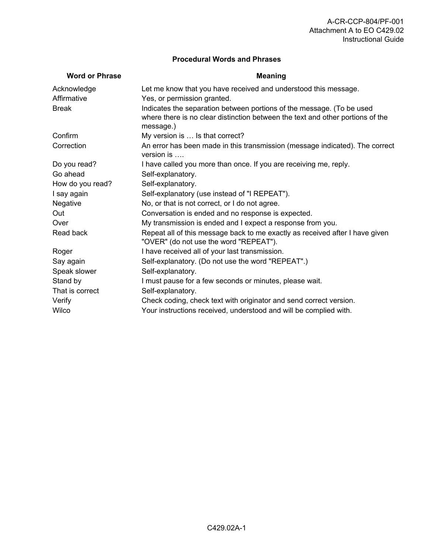## **Procedural Words and Phrases**

| <b>Word or Phrase</b> | <b>Meaning</b>                                                                                                                                                       |
|-----------------------|----------------------------------------------------------------------------------------------------------------------------------------------------------------------|
| Acknowledge           | Let me know that you have received and understood this message.                                                                                                      |
| Affirmative           | Yes, or permission granted.                                                                                                                                          |
| <b>Break</b>          | Indicates the separation between portions of the message. (To be used<br>where there is no clear distinction between the text and other portions of the<br>message.) |
| Confirm               | My version is  Is that correct?                                                                                                                                      |
| Correction            | An error has been made in this transmission (message indicated). The correct<br>version is $\dots$                                                                   |
| Do you read?          | I have called you more than once. If you are receiving me, reply.                                                                                                    |
| Go ahead              | Self-explanatory.                                                                                                                                                    |
| How do you read?      | Self-explanatory.                                                                                                                                                    |
| I say again           | Self-explanatory (use instead of "I REPEAT").                                                                                                                        |
| Negative              | No, or that is not correct, or I do not agree.                                                                                                                       |
| Out                   | Conversation is ended and no response is expected.                                                                                                                   |
| Over                  | My transmission is ended and I expect a response from you.                                                                                                           |
| Read back             | Repeat all of this message back to me exactly as received after I have given<br>"OVER" (do not use the word "REPEAT").                                               |
| Roger                 | I have received all of your last transmission.                                                                                                                       |
| Say again             | Self-explanatory. (Do not use the word "REPEAT".)                                                                                                                    |
| Speak slower          | Self-explanatory.                                                                                                                                                    |
| Stand by              | I must pause for a few seconds or minutes, please wait.                                                                                                              |
| That is correct       | Self-explanatory.                                                                                                                                                    |
| Verify                | Check coding, check text with originator and send correct version.                                                                                                   |
| Wilco                 | Your instructions received, understood and will be complied with.                                                                                                    |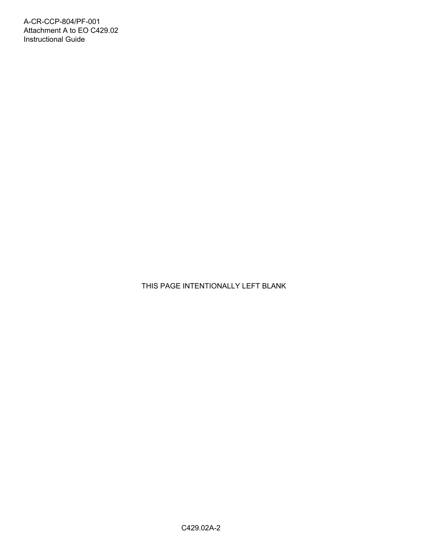A-CR-CCP-804/PF-001 Attachment A to EO C429.02 Instructional Guide

THIS PAGE INTENTIONALLY LEFT BLANK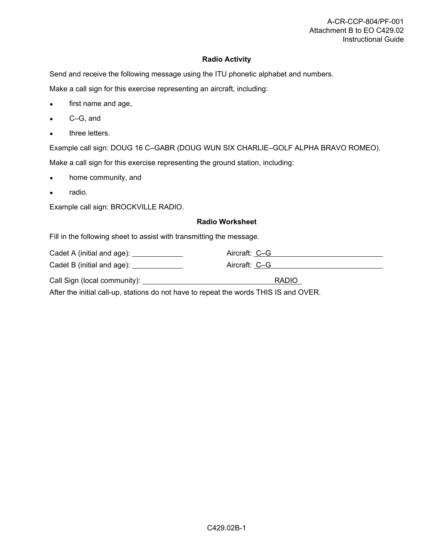## **Radio Activity**

Send and receive the following message using the ITU phonetic alphabet and numbers.

Make a call sign for this exercise representing an aircraft, including:

- first name and age,
- C–G, and
- three letters.

Example call sign: DOUG 16 C–GABR (DOUG WUN SIX CHARLIE–GOLF ALPHA BRAVO ROMEO).

Make a call sign for this exercise representing the ground station, including:

- home community, and
- radio.

Example call sign: BROCKVILLE RADIO.

## **Radio Worksheet**

Fill in the following sheet to assist with transmitting the message.

| Cadet A (initial and age): | Aircraft: C-G |
|----------------------------|---------------|
| Cadet B (initial and age): | Aircraft: C-G |

Call Sign (local community): RADIO

After the initial call-up, stations do not have to repeat the words THIS IS and OVER.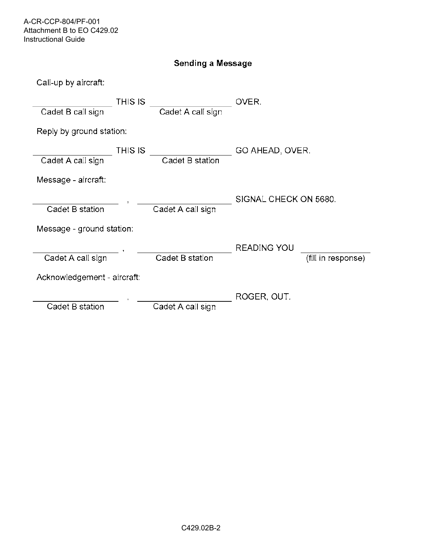# Sending a Message

| Call-up by aircraft:        |         |                   |                       |                    |
|-----------------------------|---------|-------------------|-----------------------|--------------------|
| Cadet B call sign           | THIS IS | Cadet A call sign | OVER.                 |                    |
| Reply by ground station:    |         |                   |                       |                    |
|                             | THIS IS |                   | GO AHEAD, OVER.       |                    |
| Cadet A call sign           |         | Cadet B station   |                       |                    |
| Message - aircraft:         |         |                   |                       |                    |
|                             |         |                   | SIGNAL CHECK ON 5680. |                    |
| Cadet B station             |         | Cadet A call sign |                       |                    |
| Message - ground station:   |         |                   |                       |                    |
|                             |         |                   | <b>READING YOU</b>    |                    |
| Cadet A call sign           |         | Cadet B station   |                       | (fill in response) |
| Acknowledgement - aircraft: |         |                   |                       |                    |
|                             |         |                   | ROGER, OUT.           |                    |
| Cadet B station             |         | Cadet A call sign |                       |                    |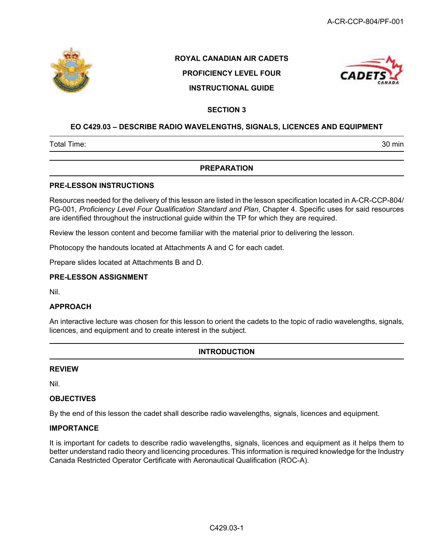

# **ROYAL CANADIAN AIR CADETS PROFICIENCY LEVEL FOUR INSTRUCTIONAL GUIDE**



## **SECTION 3**

## **EO C429.03 – DESCRIBE RADIO WAVELENGTHS, SIGNALS, LICENCES AND EQUIPMENT**

Total Time: 30 min

## **PREPARATION**

#### **PRE-LESSON INSTRUCTIONS**

Resources needed for the delivery of this lesson are listed in the lesson specification located in A-CR-CCP-804/ PG-001, *Proficiency Level Four Qualification Standard and Plan*, Chapter 4. Specific uses for said resources are identified throughout the instructional guide within the TP for which they are required.

Review the lesson content and become familiar with the material prior to delivering the lesson.

Photocopy the handouts located at Attachments A and C for each cadet.

Prepare slides located at Attachments B and D.

## **PRE-LESSON ASSIGNMENT**

Nil.

## **APPROACH**

An interactive lecture was chosen for this lesson to orient the cadets to the topic of radio wavelengths, signals, licences, and equipment and to create interest in the subject.

## **INTRODUCTION**

#### **REVIEW**

Nil.

## **OBJECTIVES**

By the end of this lesson the cadet shall describe radio wavelengths, signals, licences and equipment.

#### **IMPORTANCE**

It is important for cadets to describe radio wavelengths, signals, licences and equipment as it helps them to better understand radio theory and licencing procedures. This information is required knowledge for the Industry Canada Restricted Operator Certificate with Aeronautical Qualification (ROC-A).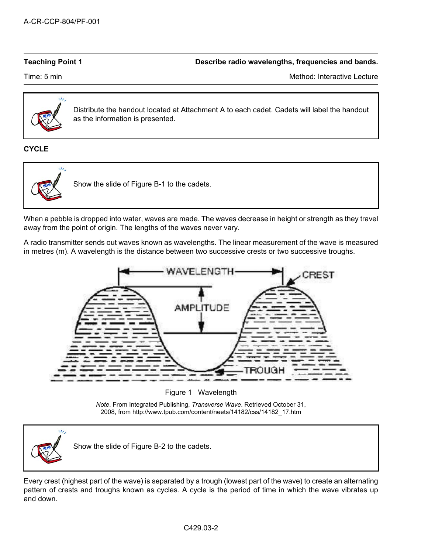**Teaching Point 1 Describe radio wavelengths, frequencies and bands.**

Time: 5 min Method: Interactive Lecture Company of Time: 5 min Method: Interactive Lecture



Distribute the handout located at Attachment A to each cadet. Cadets will label the handout as the information is presented.

## **CYCLE**



Show the slide of Figure B-1 to the cadets.

When a pebble is dropped into water, waves are made. The waves decrease in height or strength as they travel away from the point of origin. The lengths of the waves never vary.

A radio transmitter sends out waves known as wavelengths. The linear measurement of the wave is measured in metres (m). A wavelength is the distance between two successive crests or two successive troughs.



Figure 1 Wavelength

*Note*. From Integrated Publishing, *Transverse Wave*. Retrieved October 31, 2008, from http://www.tpub.com/content/neets/14182/css/14182\_17.htm



Show the slide of Figure B-2 to the cadets.

Every crest (highest part of the wave) is separated by a trough (lowest part of the wave) to create an alternating pattern of crests and troughs known as cycles. A cycle is the period of time in which the wave vibrates up and down.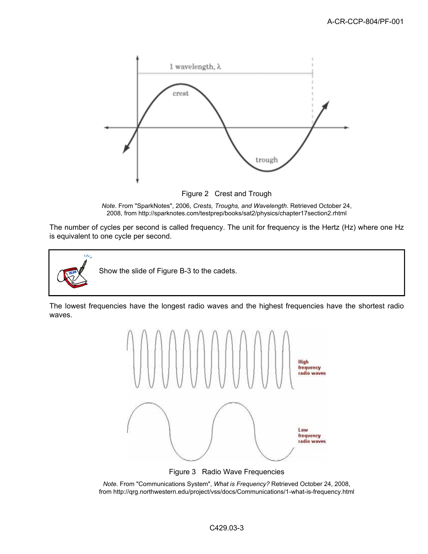

Figure 2 Crest and Trough

*Note*. From "SparkNotes", 2006, *Crests, Troughs, and Wavelength*. Retrieved October 24, 2008, from http://sparknotes.com/testprep/books/sat2/physics/chapter17section2.rhtml

The number of cycles per second is called frequency. The unit for frequency is the Hertz (Hz) where one Hz is equivalent to one cycle per second.



The lowest frequencies have the longest radio waves and the highest frequencies have the shortest radio waves.



Figure 3 Radio Wave Frequencies

*Note*. From "Communications System", *What is Frequency?* Retrieved October 24, 2008, from http://qrg.northwestern.edu/project/vss/docs/Communications/1-what-is-frequency.html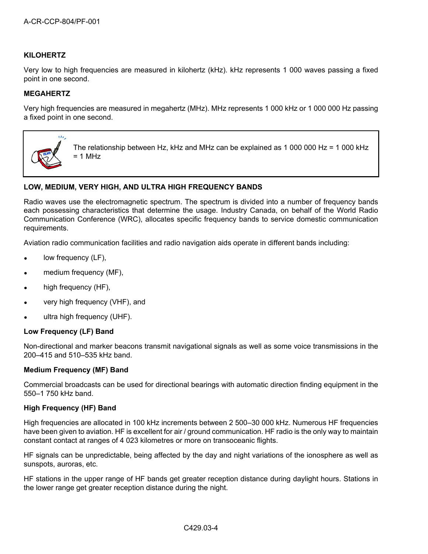## **KILOHERTZ**

Very low to high frequencies are measured in kilohertz (kHz). kHz represents 1 000 waves passing a fixed point in one second.

### **MEGAHERTZ**

Very high frequencies are measured in megahertz (MHz). MHz represents 1 000 kHz or 1 000 000 Hz passing a fixed point in one second.



The relationship between Hz, kHz and MHz can be explained as 1 000 000 Hz = 1 000 kHz  $= 1$  MHz

## **LOW, MEDIUM, VERY HIGH, AND ULTRA HIGH FREQUENCY BANDS**

Radio waves use the electromagnetic spectrum. The spectrum is divided into a number of frequency bands each possessing characteristics that determine the usage. Industry Canada, on behalf of the World Radio Communication Conference (WRC), allocates specific frequency bands to service domestic communication requirements.

Aviation radio communication facilities and radio navigation aids operate in different bands including:

- low frequency (LF),
- medium frequency (MF),
- high frequency (HF),
- very high frequency (VHF), and
- ultra high frequency (UHF).

#### **Low Frequency (LF) Band**

Non-directional and marker beacons transmit navigational signals as well as some voice transmissions in the 200–415 and 510–535 kHz band.

#### **Medium Frequency (MF) Band**

Commercial broadcasts can be used for directional bearings with automatic direction finding equipment in the 550–1 750 kHz band.

#### **High Frequency (HF) Band**

High frequencies are allocated in 100 kHz increments between 2 500–30 000 kHz. Numerous HF frequencies have been given to aviation. HF is excellent for air / ground communication. HF radio is the only way to maintain constant contact at ranges of 4 023 kilometres or more on transoceanic flights.

HF signals can be unpredictable, being affected by the day and night variations of the ionosphere as well as sunspots, auroras, etc.

HF stations in the upper range of HF bands get greater reception distance during daylight hours. Stations in the lower range get greater reception distance during the night.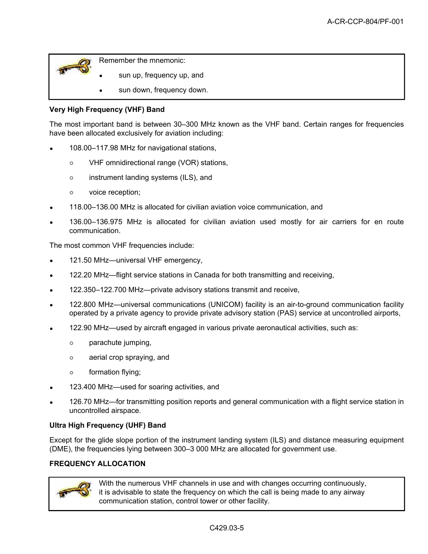

- Remember the mnemonic:
- sun up, frequency up, and
- sun down, frequency down.

## **Very High Frequency (VHF) Band**

The most important band is between 30–300 MHz known as the VHF band. Certain ranges for frequencies have been allocated exclusively for aviation including:

- 108.00–117.98 MHz for navigational stations,
	- $\circ$ VHF omnidirectional range (VOR) stations,
	- $\Omega$ instrument landing systems (ILS), and
	- voice reception;  $\circ$
- 118.00–136.00 MHz is allocated for civilian aviation voice communication, and
- 136.00–136.975 MHz is allocated for civilian aviation used mostly for air carriers for en route communication.

The most common VHF frequencies include:

- 121.50 MHz—universal VHF emergency,
- 122.20 MHz—flight service stations in Canada for both transmitting and receiving,
- 122.350–122.700 MHz—private advisory stations transmit and receive,
- 122.800 MHz—universal communications (UNICOM) facility is an air-to-ground communication facility operated by a private agency to provide private advisory station (PAS) service at uncontrolled airports,
- 122.90 MHz—used by aircraft engaged in various private aeronautical activities, such as:
	- $\circ$ parachute jumping,
	- $\circ$ aerial crop spraying, and
	- $\circ$ formation flying;
- 123.400 MHz—used for soaring activities, and
- 126.70 MHz—for transmitting position reports and general communication with a flight service station in uncontrolled airspace.

## **Ultra High Frequency (UHF) Band**

Except for the glide slope portion of the instrument landing system (ILS) and distance measuring equipment (DME), the frequencies lying between 300–3 000 MHz are allocated for government use.

## **FREQUENCY ALLOCATION**



With the numerous VHF channels in use and with changes occurring continuously, it is advisable to state the frequency on which the call is being made to any airway communication station, control tower or other facility.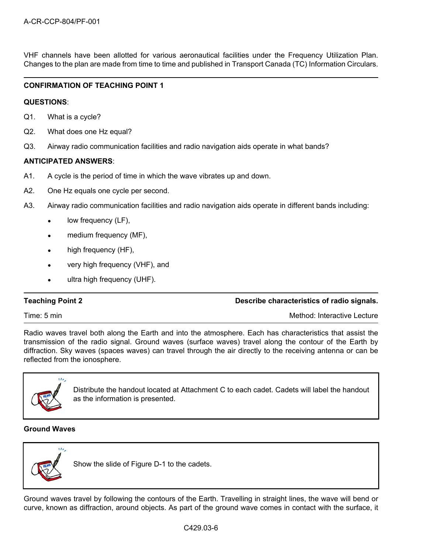VHF channels have been allotted for various aeronautical facilities under the Frequency Utilization Plan. Changes to the plan are made from time to time and published in Transport Canada (TC) Information Circulars.

### **CONFIRMATION OF TEACHING POINT 1**

### **QUESTIONS**:

- Q1. What is a cycle?
- Q2. What does one Hz equal?
- Q3. Airway radio communication facilities and radio navigation aids operate in what bands?

#### **ANTICIPATED ANSWERS**:

- A1. A cycle is the period of time in which the wave vibrates up and down.
- A2. One Hz equals one cycle per second.
- A3. Airway radio communication facilities and radio navigation aids operate in different bands including:
	- low frequency (LF),  $\bullet$
	- medium frequency (MF),  $\bullet$
	- high frequency (HF),  $\bullet$
	- very high frequency (VHF), and  $\bullet$
	- ultra high frequency (UHF).  $\bullet$

#### **Teaching Point 2 Describe characteristics of radio signals.**

Time: 5 min Method: Interactive Lecture Communication of the Method: Interactive Lecture

Radio waves travel both along the Earth and into the atmosphere. Each has characteristics that assist the transmission of the radio signal. Ground waves (surface waves) travel along the contour of the Earth by diffraction. Sky waves (spaces waves) can travel through the air directly to the receiving antenna or can be reflected from the ionosphere.



Distribute the handout located at Attachment C to each cadet. Cadets will label the handout as the information is presented.

#### **Ground Waves**



Show the slide of Figure D-1 to the cadets.

Ground waves travel by following the contours of the Earth. Travelling in straight lines, the wave will bend or curve, known as diffraction, around objects. As part of the ground wave comes in contact with the surface, it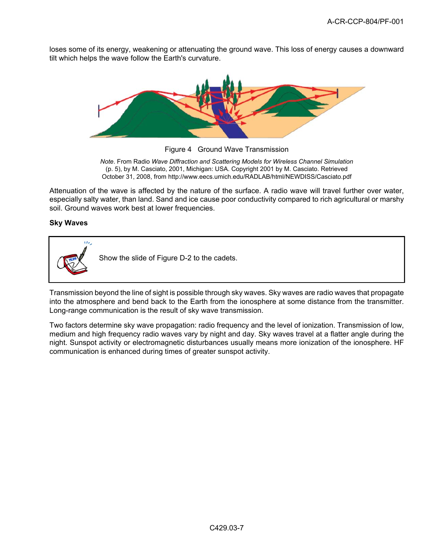loses some of its energy, weakening or attenuating the ground wave. This loss of energy causes a downward tilt which helps the wave follow the Earth's curvature.



Figure 4 Ground Wave Transmission

*Note*. From Radio *Wave Diffraction and Scattering Models for Wireless Channel Simulation* (p. 5), by M. Casciato, 2001, Michigan: USA. Copyright 2001 by M. Casciato. Retrieved October 31, 2008, from http://www.eecs.umich.edu/RADLAB/html/NEWDISS/Casciato.pdf

Attenuation of the wave is affected by the nature of the surface. A radio wave will travel further over water, especially salty water, than land. Sand and ice cause poor conductivity compared to rich agricultural or marshy soil. Ground waves work best at lower frequencies.

## **Sky Waves**



Show the slide of Figure D-2 to the cadets.

Transmission beyond the line of sight is possible through sky waves. Sky waves are radio waves that propagate into the atmosphere and bend back to the Earth from the ionosphere at some distance from the transmitter. Long-range communication is the result of sky wave transmission.

Two factors determine sky wave propagation: radio frequency and the level of ionization. Transmission of low, medium and high frequency radio waves vary by night and day. Sky waves travel at a flatter angle during the night. Sunspot activity or electromagnetic disturbances usually means more ionization of the ionosphere. HF communication is enhanced during times of greater sunspot activity.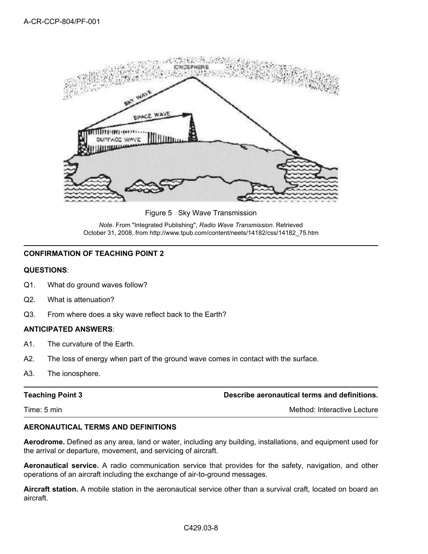

Figure 5 Sky Wave Transmission

*Note*. From "Integrated Publishing", *Radio Wave Transmission*. Retrieved October 31, 2008, from http://www.tpub.com/content/neets/14182/css/14182\_75.htm

## **CONFIRMATION OF TEACHING POINT 2**

#### **QUESTIONS**:

- Q1. What do ground waves follow?
- Q2. What is attenuation?
- Q3. From where does a sky wave reflect back to the Earth?

#### **ANTICIPATED ANSWERS**:

- A1. The curvature of the Earth.
- A2. The loss of energy when part of the ground wave comes in contact with the surface.
- A3. The ionosphere.

**Teaching Point 3 Describe aeronautical terms and definitions.**

Time: 5 min Method: Interactive Lecture Companies and Method: Interactive Lecture

## **AERONAUTICAL TERMS AND DEFINITIONS**

**Aerodrome.** Defined as any area, land or water, including any building, installations, and equipment used for the arrival or departure, movement, and servicing of aircraft.

**Aeronautical service.** A radio communication service that provides for the safety, navigation, and other operations of an aircraft including the exchange of air-to-ground messages.

**Aircraft station.** A mobile station in the aeronautical service other than a survival craft, located on board an aircraft.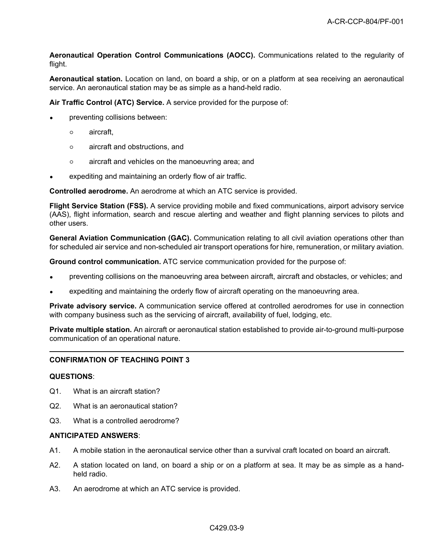**Aeronautical Operation Control Communications (AOCC).** Communications related to the regularity of flight.

**Aeronautical station.** Location on land, on board a ship, or on a platform at sea receiving an aeronautical service. An aeronautical station may be as simple as a hand-held radio.

**Air Traffic Control (ATC) Service.** A service provided for the purpose of:

- preventing collisions between:
	- aircraft,  $\circ$
	- $\circ$ aircraft and obstructions, and
	- $\circ$ aircraft and vehicles on the manoeuvring area; and
- expediting and maintaining an orderly flow of air traffic.

**Controlled aerodrome.** An aerodrome at which an ATC service is provided.

**Flight Service Station (FSS).** A service providing mobile and fixed communications, airport advisory service (AAS), flight information, search and rescue alerting and weather and flight planning services to pilots and other users.

**General Aviation Communication (GAC).** Communication relating to all civil aviation operations other than for scheduled air service and non-scheduled air transport operations for hire, remuneration, or military aviation.

**Ground control communication.** ATC service communication provided for the purpose of:

- preventing collisions on the manoeuvring area between aircraft, aircraft and obstacles, or vehicles; and
- expediting and maintaining the orderly flow of aircraft operating on the manoeuvring area.

**Private advisory service.** A communication service offered at controlled aerodromes for use in connection with company business such as the servicing of aircraft, availability of fuel, lodging, etc.

**Private multiple station.** An aircraft or aeronautical station established to provide air-to-ground multi-purpose communication of an operational nature.

#### **CONFIRMATION OF TEACHING POINT 3**

#### **QUESTIONS**:

- Q1. What is an aircraft station?
- Q2. What is an aeronautical station?
- Q3. What is a controlled aerodrome?

#### **ANTICIPATED ANSWERS**:

- A1. A mobile station in the aeronautical service other than a survival craft located on board an aircraft.
- A2. A station located on land, on board a ship or on a platform at sea. It may be as simple as a handheld radio.
- A3. An aerodrome at which an ATC service is provided.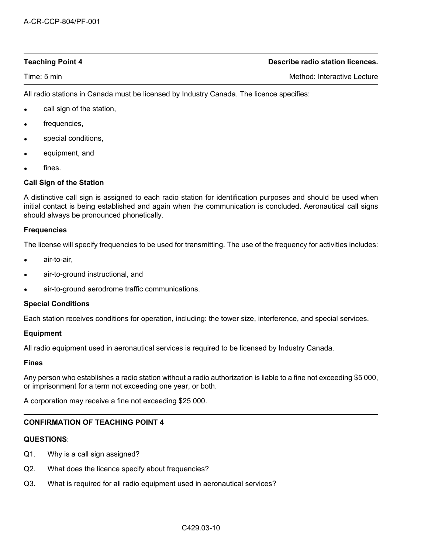## **Teaching Point 4 Describe radio station licences.**

Time: 5 min Method: Interactive Lecture Communication of the Method: Interactive Lecture

All radio stations in Canada must be licensed by Industry Canada. The licence specifies:

- call sign of the station,  $\bullet$
- frequencies,
- special conditions,  $\bullet$
- equipment, and
- fines.

## **Call Sign of the Station**

A distinctive call sign is assigned to each radio station for identification purposes and should be used when initial contact is being established and again when the communication is concluded. Aeronautical call signs should always be pronounced phonetically.

#### **Frequencies**

The license will specify frequencies to be used for transmitting. The use of the frequency for activities includes:

- air-to-air,
- air-to-ground instructional, and
- air-to-ground aerodrome traffic communications.

## **Special Conditions**

Each station receives conditions for operation, including: the tower size, interference, and special services.

#### **Equipment**

All radio equipment used in aeronautical services is required to be licensed by Industry Canada.

#### **Fines**

Any person who establishes a radio station without a radio authorization is liable to a fine not exceeding \$5 000, or imprisonment for a term not exceeding one year, or both.

A corporation may receive a fine not exceeding \$25 000.

## **CONFIRMATION OF TEACHING POINT 4**

## **QUESTIONS**:

- Q1. Why is a call sign assigned?
- Q2. What does the licence specify about frequencies?
- Q3. What is required for all radio equipment used in aeronautical services?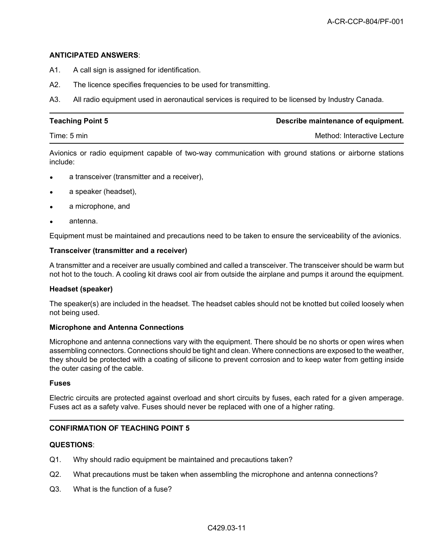#### **ANTICIPATED ANSWERS**:

- A1. A call sign is assigned for identification.
- A2. The licence specifies frequencies to be used for transmitting.
- A3. All radio equipment used in aeronautical services is required to be licensed by Industry Canada.

| <b>Teaching Point 5</b> | Describe maintenance of equipment. |
|-------------------------|------------------------------------|
| Time: 5 min             | Method: Interactive Lecture        |

Avionics or radio equipment capable of two-way communication with ground stations or airborne stations include:

- a transceiver (transmitter and a receiver),
- a speaker (headset),
- a microphone, and
- antenna.

Equipment must be maintained and precautions need to be taken to ensure the serviceability of the avionics.

#### **Transceiver (transmitter and a receiver)**

A transmitter and a receiver are usually combined and called a transceiver. The transceiver should be warm but not hot to the touch. A cooling kit draws cool air from outside the airplane and pumps it around the equipment.

#### **Headset (speaker)**

The speaker(s) are included in the headset. The headset cables should not be knotted but coiled loosely when not being used.

#### **Microphone and Antenna Connections**

Microphone and antenna connections vary with the equipment. There should be no shorts or open wires when assembling connectors. Connections should be tight and clean. Where connections are exposed to the weather, they should be protected with a coating of silicone to prevent corrosion and to keep water from getting inside the outer casing of the cable.

#### **Fuses**

Electric circuits are protected against overload and short circuits by fuses, each rated for a given amperage. Fuses act as a safety valve. Fuses should never be replaced with one of a higher rating.

#### **CONFIRMATION OF TEACHING POINT 5**

#### **QUESTIONS**:

- Q1. Why should radio equipment be maintained and precautions taken?
- Q2. What precautions must be taken when assembling the microphone and antenna connections?
- Q3. What is the function of a fuse?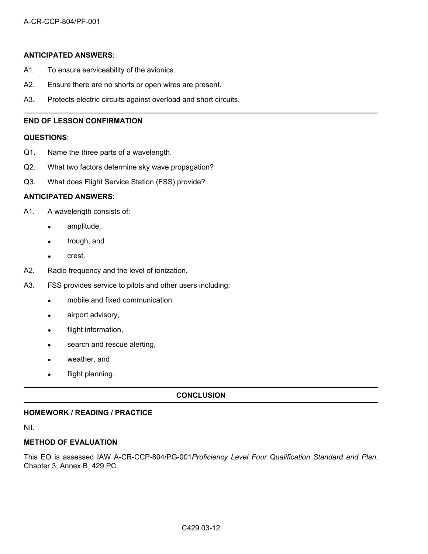### **ANTICIPATED ANSWERS**:

- A1. To ensure serviceability of the avionics.
- A2. Ensure there are no shorts or open wires are present.
- A3. Protects electric circuits against overload and short circuits.

#### **END OF LESSON CONFIRMATION**

#### **QUESTIONS**:

- Q1. Name the three parts of a wavelength.
- Q2. What two factors determine sky wave propagation?
- Q3. What does Flight Service Station (FSS) provide?

## **ANTICIPATED ANSWERS**:

- A1. A wavelength consists of:
	- amplitude,  $\bullet$
	- trough, and  $\bullet$
	- crest.  $\bullet$
- A2. Radio frequency and the level of ionization.
- A3. FSS provides service to pilots and other users including:
	- mobile and fixed communication,  $\bullet$
	- airport advisory,  $\bullet$
	- flight information,  $\bullet$
	- search and rescue alerting,  $\bullet$
	- weather, and  $\bullet$
	- flight planning.  $\bullet$

## **CONCLUSION**

#### **HOMEWORK / READING / PRACTICE**

Nil.

## **METHOD OF EVALUATION**

This EO is assessed IAW A-CR-CCP-804/PG-001*Proficiency Level Four Qualification Standard and Plan*, Chapter 3, Annex B, 429 PC.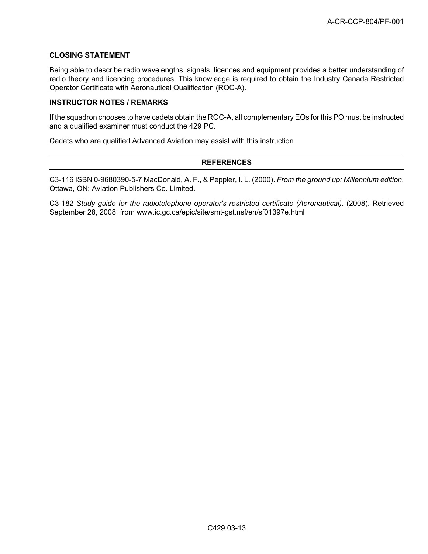#### **CLOSING STATEMENT**

Being able to describe radio wavelengths, signals, licences and equipment provides a better understanding of radio theory and licencing procedures. This knowledge is required to obtain the Industry Canada Restricted Operator Certificate with Aeronautical Qualification (ROC-A).

## **INSTRUCTOR NOTES / REMARKS**

If the squadron chooses to have cadets obtain the ROC-A, all complementary EOs for this PO must be instructed and a qualified examiner must conduct the 429 PC.

Cadets who are qualified Advanced Aviation may assist with this instruction.

## **REFERENCES**

C3-116 ISBN 0-9680390-5-7 MacDonald, A. F., & Peppler, I. L. (2000). *From the ground up: Millennium edition*. Ottawa, ON: Aviation Publishers Co. Limited.

C3-182 *Study guide for the radiotelephone operator's restricted certificate (Aeronautical)*. (2008). Retrieved September 28, 2008, from www.ic.gc.ca/epic/site/smt-gst.nsf/en/sf01397e.html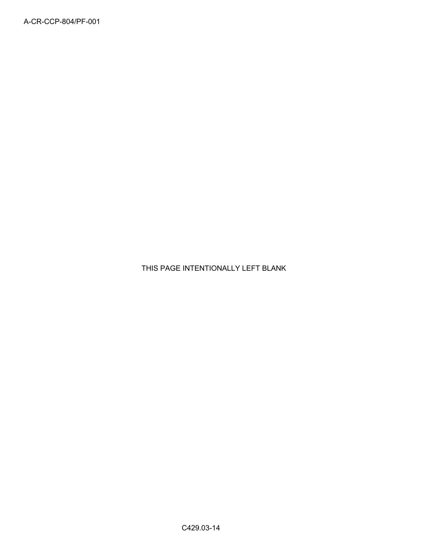THIS PAGE INTENTIONALLY LEFT BLANK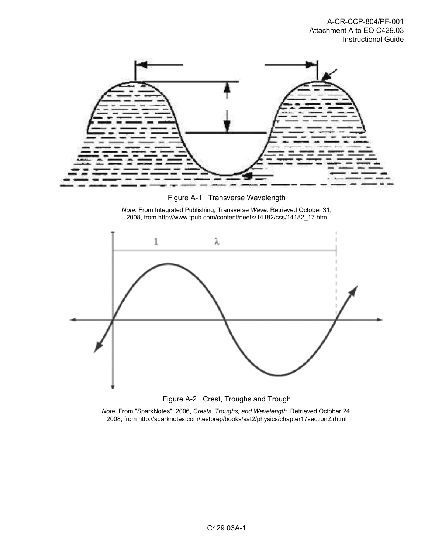

Figure A-1 Transverse Wavelength

*Note*. From Integrated Publishing, Transverse *Wave*. Retrieved October 31, 2008, from http://www.tpub.com/content/neets/14182/css/14182\_17.htm





*Note*. From "SparkNotes", 2006, *Crests, Troughs, and Wavelength*. Retrieved October 24, 2008, from http://sparknotes.com/testprep/books/sat2/physics/chapter17section2.rhtml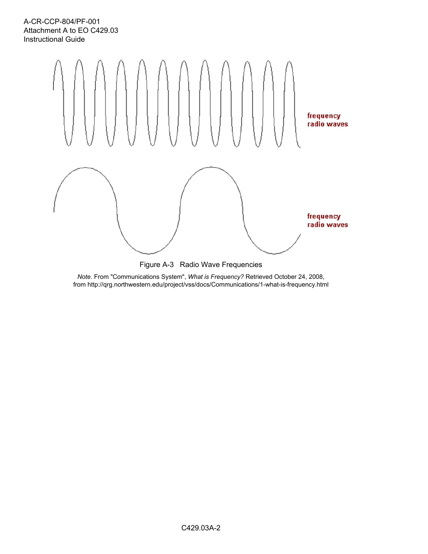A-CR-CCP-804/PF-001 Attachment A to EO C429.03 Instructional Guide



Figure A-3 Radio Wave Frequencies

*Note*. From "Communications System", *What is Frequency?* Retrieved October 24, 2008, from http://qrg.northwestern.edu/project/vss/docs/Communications/1-what-is-frequency.html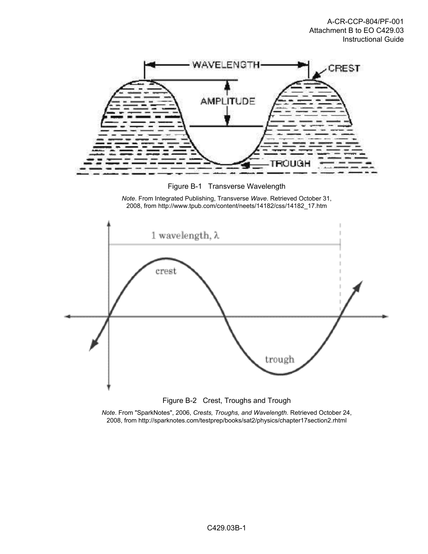

Figure B-1 Transverse Wavelength

*Note*. From Integrated Publishing, Transverse *Wave*. Retrieved October 31, 2008, from http://www.tpub.com/content/neets/14182/css/14182\_17.htm





*Note*. From "SparkNotes", 2006, *Crests, Troughs, and Wavelength*. Retrieved October 24, 2008, from http://sparknotes.com/testprep/books/sat2/physics/chapter17section2.rhtml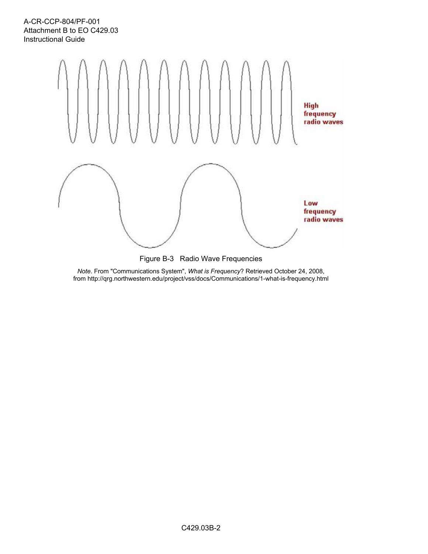A-CR-CCP-804/PF-001 Attachment B to EO C429.03 Instructional Guide



Figure B-3 Radio Wave Frequencies

*Note*. From "Communications System", *What is Frequency*? Retrieved October 24, 2008, from http://qrg.northwestern.edu/project/vss/docs/Communications/1-what-is-frequency.html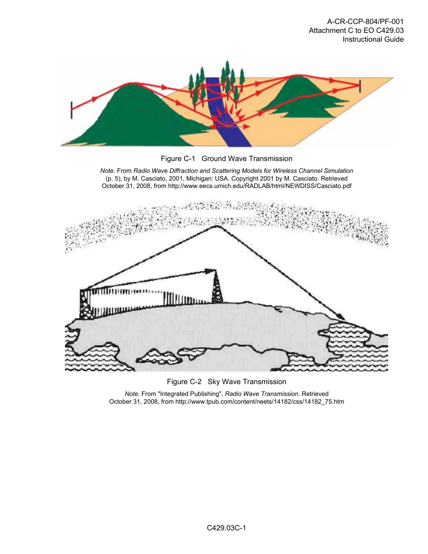## A-CR-CCP-804/PF-001 Attachment C to EO C429.03 Instructional Guide



Figure C-1 Ground Wave Transmission

*Note*. From *Radio Wave Diffraction and Scattering Models for Wireless Channel Simulation* (p. 5), by M. Casciato, 2001, Michigan: USA. Copyright 2001 by M. Casciato. Retrieved October 31, 2008, from http://www.eecs.umich.edu/RADLAB/html/NEWDISS/Casciato.pdf



Figure C-2 Sky Wave Transmission

*Note*. From "Integrated Publishing", *Radio Wave Transmission*. Retrieved October 31, 2008, from http://www.tpub.com/content/neets/14182/css/14182\_75.htm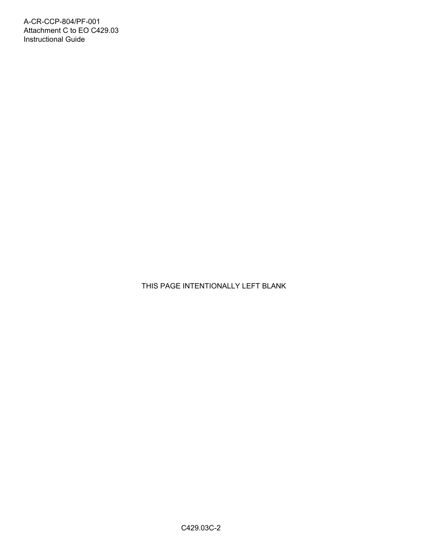A-CR-CCP-804/PF-001 Attachment C to EO C429.03 Instructional Guide

THIS PAGE INTENTIONALLY LEFT BLANK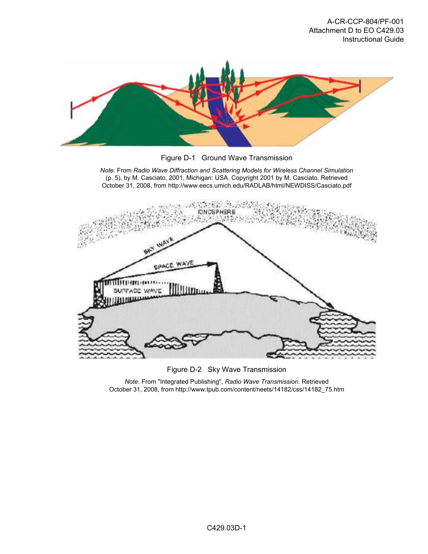## A-CR-CCP-804/PF-001 Attachment D to EO C429.03 Instructional Guide



Figure D-1 Ground Wave Transmission

*Note*. From *Radio Wave Diffraction and Scattering Models for Wireless Channel Simulation* (p. 5), by M. Casciato, 2001, Michigan: USA. Copyright 2001 by M. Casciato. Retrieved October 31, 2008, from http://www.eecs.umich.edu/RADLAB/html/NEWDISS/Casciato.pdf



Figure D-2 Sky Wave Transmission

*Note*. From "Integrated Publishing", *Radio Wave Transmission*. Retrieved October 31, 2008, from http://www.tpub.com/content/neets/14182/css/14182\_75.htm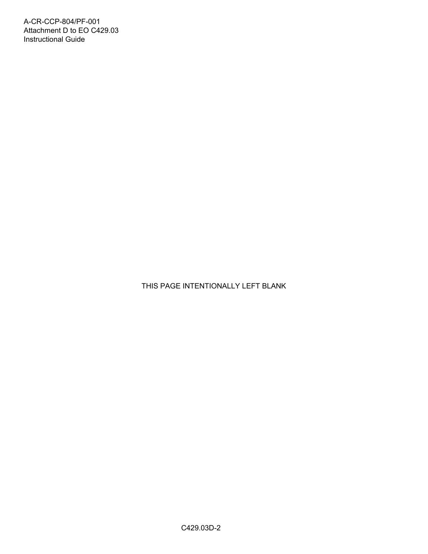A-CR-CCP-804/PF-001 Attachment D to EO C429.03 Instructional Guide

THIS PAGE INTENTIONALLY LEFT BLANK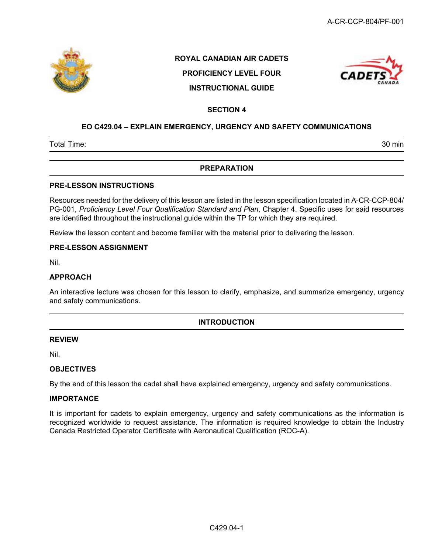

# **ROYAL CANADIAN AIR CADETS PROFICIENCY LEVEL FOUR INSTRUCTIONAL GUIDE**



## **SECTION 4**

## **EO C429.04 – EXPLAIN EMERGENCY, URGENCY AND SAFETY COMMUNICATIONS**

Total Time: 30 min

## **PREPARATION**

#### **PRE-LESSON INSTRUCTIONS**

Resources needed for the delivery of this lesson are listed in the lesson specification located in A-CR-CCP-804/ PG-001, *Proficiency Level Four Qualification Standard and Plan*, Chapter 4. Specific uses for said resources are identified throughout the instructional guide within the TP for which they are required.

Review the lesson content and become familiar with the material prior to delivering the lesson.

#### **PRE-LESSON ASSIGNMENT**

Nil.

#### **APPROACH**

An interactive lecture was chosen for this lesson to clarify, emphasize, and summarize emergency, urgency and safety communications.

## **INTRODUCTION**

#### **REVIEW**

Nil.

## **OBJECTIVES**

By the end of this lesson the cadet shall have explained emergency, urgency and safety communications.

#### **IMPORTANCE**

It is important for cadets to explain emergency, urgency and safety communications as the information is recognized worldwide to request assistance. The information is required knowledge to obtain the Industry Canada Restricted Operator Certificate with Aeronautical Qualification (ROC-A).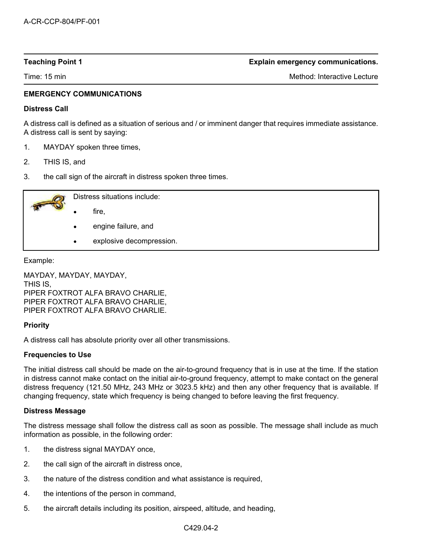**Teaching Point 1 Explain emergency communications.**

Time: 15 min Method: Interactive Lecture Communication of the Method: Interactive Lecture

## **EMERGENCY COMMUNICATIONS**

## **Distress Call**

A distress call is defined as a situation of serious and / or imminent danger that requires immediate assistance. A distress call is sent by saying:

- 1. MAYDAY spoken three times,
- 2. THIS IS, and
- 3. the call sign of the aircraft in distress spoken three times.



Distress situations include:

fire,

- engine failure, and Ä
- $\bullet$ explosive decompression.

Example:

MAYDAY, MAYDAY, MAYDAY, THIS IS, PIPER FOXTROT ALFA BRAVO CHARLIE, PIPER FOXTROT ALFA BRAVO CHARLIE, PIPER FOXTROT ALFA BRAVO CHARLIE.

## **Priority**

A distress call has absolute priority over all other transmissions.

## **Frequencies to Use**

The initial distress call should be made on the air-to-ground frequency that is in use at the time. If the station in distress cannot make contact on the initial air-to-ground frequency, attempt to make contact on the general distress frequency (121.50 MHz, 243 MHz or 3023.5 kHz) and then any other frequency that is available. If changing frequency, state which frequency is being changed to before leaving the first frequency.

## **Distress Message**

The distress message shall follow the distress call as soon as possible. The message shall include as much information as possible, in the following order:

- 1. the distress signal MAYDAY once,
- 2. the call sign of the aircraft in distress once,
- 3. the nature of the distress condition and what assistance is required,
- 4. the intentions of the person in command,
- 5. the aircraft details including its position, airspeed, altitude, and heading,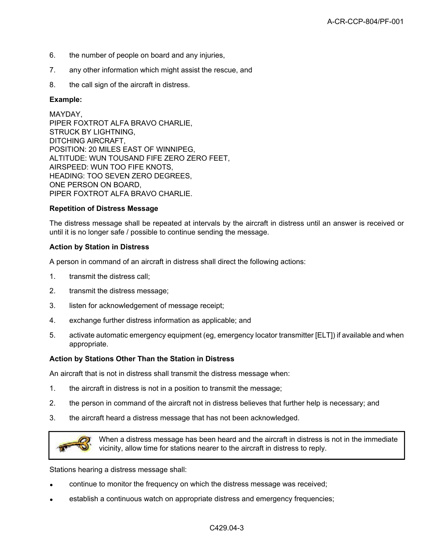- 6. the number of people on board and any injuries,
- 7. any other information which might assist the rescue, and
- 8. the call sign of the aircraft in distress.

#### **Example:**

MAYDAY, PIPER FOXTROT ALFA BRAVO CHARLIE, STRUCK BY LIGHTNING, DITCHING AIRCRAFT, POSITION: 20 MILES EAST OF WINNIPEG, ALTITUDE: WUN TOUSAND FIFE ZERO ZERO FEET, AIRSPEED: WUN TOO FIFE KNOTS, HEADING: TOO SEVEN ZERO DEGREES, ONE PERSON ON BOARD, PIPER FOXTROT ALFA BRAVO CHARLIE.

#### **Repetition of Distress Message**

The distress message shall be repeated at intervals by the aircraft in distress until an answer is received or until it is no longer safe / possible to continue sending the message.

#### **Action by Station in Distress**

A person in command of an aircraft in distress shall direct the following actions:

- 1. transmit the distress call;
- 2. transmit the distress message;
- 3. listen for acknowledgement of message receipt;
- 4. exchange further distress information as applicable; and
- 5. activate automatic emergency equipment (eg, emergency locator transmitter [ELT]) if available and when appropriate.

#### **Action by Stations Other Than the Station in Distress**

An aircraft that is not in distress shall transmit the distress message when:

- 1. the aircraft in distress is not in a position to transmit the message;
- 2. the person in command of the aircraft not in distress believes that further help is necessary; and
- 3. the aircraft heard a distress message that has not been acknowledged.



When a distress message has been heard and the aircraft in distress is not in the immediate vicinity, allow time for stations nearer to the aircraft in distress to reply.

Stations hearing a distress message shall:

- continue to monitor the frequency on which the distress message was received;
- establish a continuous watch on appropriate distress and emergency frequencies;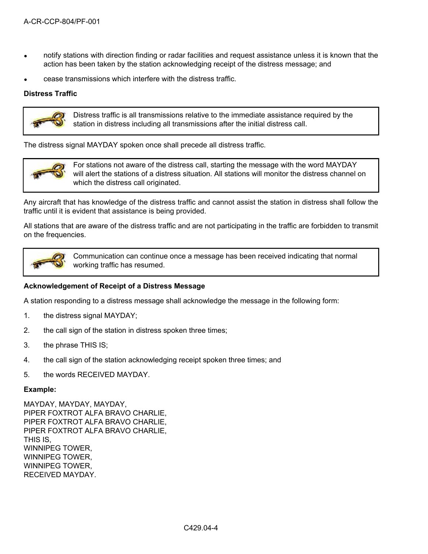- notify stations with direction finding or radar facilities and request assistance unless it is known that the action has been taken by the station acknowledging receipt of the distress message; and
- cease transmissions which interfere with the distress traffic.

#### **Distress Traffic**



Distress traffic is all transmissions relative to the immediate assistance required by the station in distress including all transmissions after the initial distress call.

The distress signal MAYDAY spoken once shall precede all distress traffic.



For stations not aware of the distress call, starting the message with the word MAYDAY will alert the stations of a distress situation. All stations will monitor the distress channel on which the distress call originated.

Any aircraft that has knowledge of the distress traffic and cannot assist the station in distress shall follow the traffic until it is evident that assistance is being provided.

All stations that are aware of the distress traffic and are not participating in the traffic are forbidden to transmit on the frequencies.



Communication can continue once a message has been received indicating that normal working traffic has resumed.

## **Acknowledgement of Receipt of a Distress Message**

A station responding to a distress message shall acknowledge the message in the following form:

- 1. the distress signal MAYDAY;
- 2. the call sign of the station in distress spoken three times;
- 3. the phrase THIS IS;
- 4. the call sign of the station acknowledging receipt spoken three times; and
- 5. the words RECEIVED MAYDAY.

#### **Example:**

MAYDAY, MAYDAY, MAYDAY, PIPER FOXTROT ALFA BRAVO CHARLIE, PIPER FOXTROT ALFA BRAVO CHARLIE, PIPER FOXTROT ALFA BRAVO CHARLIE, THIS IS, WINNIPEG TOWER, WINNIPEG TOWER, WINNIPEG TOWER, RECEIVED MAYDAY.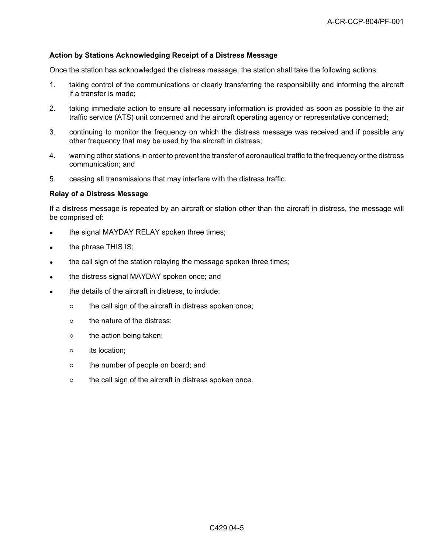### **Action by Stations Acknowledging Receipt of a Distress Message**

Once the station has acknowledged the distress message, the station shall take the following actions:

- 1. taking control of the communications or clearly transferring the responsibility and informing the aircraft if a transfer is made;
- 2. taking immediate action to ensure all necessary information is provided as soon as possible to the air traffic service (ATS) unit concerned and the aircraft operating agency or representative concerned;
- 3. continuing to monitor the frequency on which the distress message was received and if possible any other frequency that may be used by the aircraft in distress;
- 4. warning other stations in order to prevent the transfer of aeronautical traffic to the frequency or the distress communication; and
- 5. ceasing all transmissions that may interfere with the distress traffic.

#### **Relay of a Distress Message**

If a distress message is repeated by an aircraft or station other than the aircraft in distress, the message will be comprised of:

- the signal MAYDAY RELAY spoken three times;
- the phrase THIS IS;
- the call sign of the station relaying the message spoken three times;
- the distress signal MAYDAY spoken once; and
- the details of the aircraft in distress, to include:
	- the call sign of the aircraft in distress spoken once;  $\circ$
	- the nature of the distress;  $\circ$
	- the action being taken;  $\circ$
	- $\circ$ its location;
	- the number of people on board; and  $\circ$
	- the call sign of the aircraft in distress spoken once. $\circ$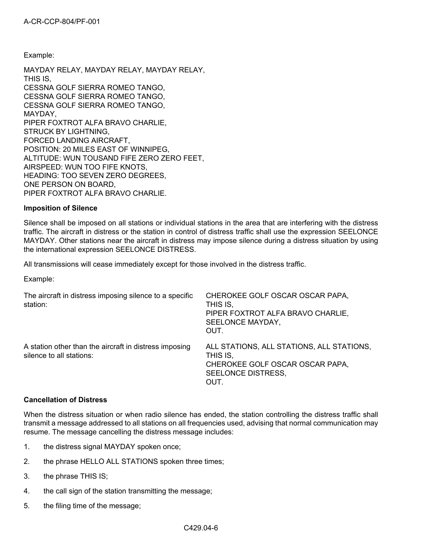### Example:

MAYDAY RELAY, MAYDAY RELAY, MAYDAY RELAY, THIS IS, CESSNA GOLF SIERRA ROMEO TANGO, CESSNA GOLF SIERRA ROMEO TANGO, CESSNA GOLF SIERRA ROMEO TANGO, MAYDAY, PIPER FOXTROT ALFA BRAVO CHARLIE, STRUCK BY LIGHTNING, FORCED LANDING AIRCRAFT, POSITION: 20 MILES EAST OF WINNIPEG, ALTITUDE: WUN TOUSAND FIFE ZERO ZERO FEET, AIRSPEED: WUN TOO FIFE KNOTS, HEADING: TOO SEVEN ZERO DEGREES, ONE PERSON ON BOARD, PIPER FOXTROT ALFA BRAVO CHARLIE.

#### **Imposition of Silence**

Silence shall be imposed on all stations or individual stations in the area that are interfering with the distress traffic. The aircraft in distress or the station in control of distress traffic shall use the expression SEELONCE MAYDAY. Other stations near the aircraft in distress may impose silence during a distress situation by using the international expression SEELONCE DISTRESS.

All transmissions will cease immediately except for those involved in the distress traffic.

Example:

| The aircraft in distress imposing silence to a specific<br>station:                | CHEROKEE GOLF OSCAR OSCAR PAPA,<br>THIS IS,<br>PIPER FOXTROT ALFA BRAVO CHARLIE,<br>SEELONCE MAYDAY,<br>OUT.                  |
|------------------------------------------------------------------------------------|-------------------------------------------------------------------------------------------------------------------------------|
| A station other than the aircraft in distress imposing<br>silence to all stations: | ALL STATIONS, ALL STATIONS, ALL STATIONS,<br>THIS IS,<br>CHEROKEE GOLF OSCAR OSCAR PAPA,<br><b>SEELONCE DISTRESS.</b><br>OUT. |

#### **Cancellation of Distress**

When the distress situation or when radio silence has ended, the station controlling the distress traffic shall transmit a message addressed to all stations on all frequencies used, advising that normal communication may resume. The message cancelling the distress message includes:

- 1. the distress signal MAYDAY spoken once;
- 2. the phrase HELLO ALL STATIONS spoken three times;
- 3. the phrase THIS IS;
- 4. the call sign of the station transmitting the message;
- 5. the filing time of the message;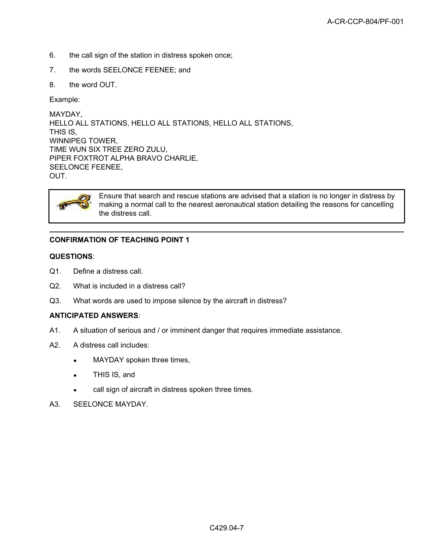- 6. the call sign of the station in distress spoken once;
- 7. the words SEELONCE FEENEE; and
- 8. the word OUT.

Example:

MAYDAY, HELLO ALL STATIONS, HELLO ALL STATIONS, HELLO ALL STATIONS, THIS IS, WINNIPEG TOWER, TIME WUN SIX TREE ZERO ZULU, PIPER FOXTROT ALPHA BRAVO CHARLIE, SEELONCE FEENEE, OUT.



Ensure that search and rescue stations are advised that a station is no longer in distress by making a normal call to the nearest aeronautical station detailing the reasons for cancelling the distress call.

## **CONFIRMATION OF TEACHING POINT 1**

#### **QUESTIONS**:

- Q1. Define a distress call.
- Q2. What is included in a distress call?
- Q3. What words are used to impose silence by the aircraft in distress?

## **ANTICIPATED ANSWERS**:

- A1. A situation of serious and / or imminent danger that requires immediate assistance.
- A2. A distress call includes:
	- MAYDAY spoken three times,  $\bullet$
	- THIS IS, and  $\bullet$
	- call sign of aircraft in distress spoken three times.  $\bullet$
- A3. SEELONCE MAYDAY.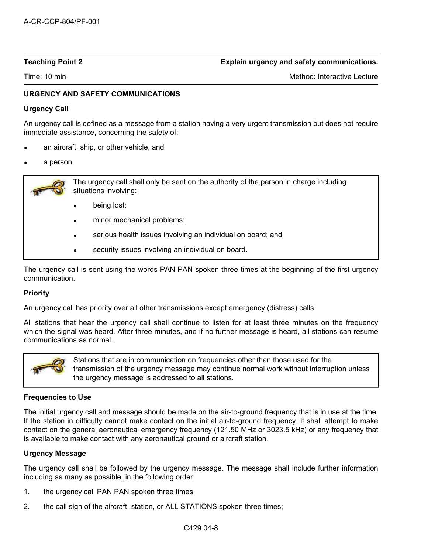## **Teaching Point 2 Explain urgency and safety communications.**

Time: 10 min Method: Interactive Lecture Communication of the Method: Interactive Lecture

## **URGENCY AND SAFETY COMMUNICATIONS**

## **Urgency Call**

An urgency call is defined as a message from a station having a very urgent transmission but does not require immediate assistance, concerning the safety of:

- an aircraft, ship, or other vehicle, and
- a person.



The urgency call shall only be sent on the authority of the person in charge including situations involving:

- being lost;  $\bullet$
- minor mechanical problems;  $\bullet$
- serious health issues involving an individual on board; and  $\bullet$
- security issues involving an individual on board.  $\bullet$

The urgency call is sent using the words PAN PAN spoken three times at the beginning of the first urgency communication.

## **Priority**

An urgency call has priority over all other transmissions except emergency (distress) calls.

All stations that hear the urgency call shall continue to listen for at least three minutes on the frequency which the signal was heard. After three minutes, and if no further message is heard, all stations can resume communications as normal.



Stations that are in communication on frequencies other than those used for the transmission of the urgency message may continue normal work without interruption unless the urgency message is addressed to all stations.

#### **Frequencies to Use**

The initial urgency call and message should be made on the air-to-ground frequency that is in use at the time. If the station in difficulty cannot make contact on the initial air-to-ground frequency, it shall attempt to make contact on the general aeronautical emergency frequency (121.50 MHz or 3023.5 kHz) or any frequency that is available to make contact with any aeronautical ground or aircraft station.

#### **Urgency Message**

The urgency call shall be followed by the urgency message. The message shall include further information including as many as possible, in the following order:

- 1. the urgency call PAN PAN spoken three times;
- 2. the call sign of the aircraft, station, or ALL STATIONS spoken three times;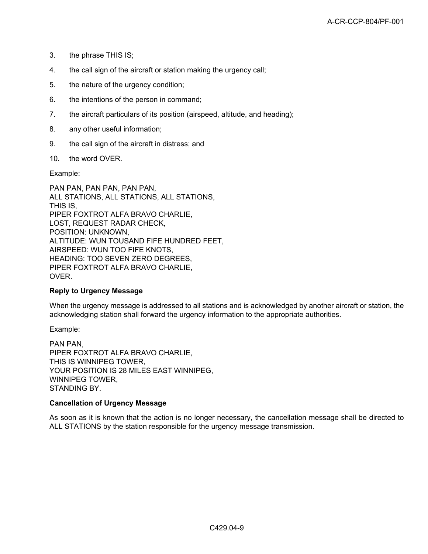- 3. the phrase THIS IS;
- 4. the call sign of the aircraft or station making the urgency call;
- 5. the nature of the urgency condition;
- 6. the intentions of the person in command;
- 7. the aircraft particulars of its position (airspeed, altitude, and heading);
- 8. any other useful information;
- 9. the call sign of the aircraft in distress; and
- 10. the word OVER.

Example:

PAN PAN, PAN PAN, PAN PAN, ALL STATIONS, ALL STATIONS, ALL STATIONS, THIS IS, PIPER FOXTROT ALFA BRAVO CHARLIE, LOST, REQUEST RADAR CHECK, POSITION: UNKNOWN, ALTITUDE: WUN TOUSAND FIFE HUNDRED FEET, AIRSPEED: WUN TOO FIFE KNOTS, HEADING: TOO SEVEN ZERO DEGREES, PIPER FOXTROT ALFA BRAVO CHARLIE, OVER.

#### **Reply to Urgency Message**

When the urgency message is addressed to all stations and is acknowledged by another aircraft or station, the acknowledging station shall forward the urgency information to the appropriate authorities.

Example:

PAN PAN, PIPER FOXTROT ALFA BRAVO CHARLIE, THIS IS WINNIPEG TOWER, YOUR POSITION IS 28 MILES EAST WINNIPEG, WINNIPEG TOWER, STANDING BY.

#### **Cancellation of Urgency Message**

As soon as it is known that the action is no longer necessary, the cancellation message shall be directed to ALL STATIONS by the station responsible for the urgency message transmission.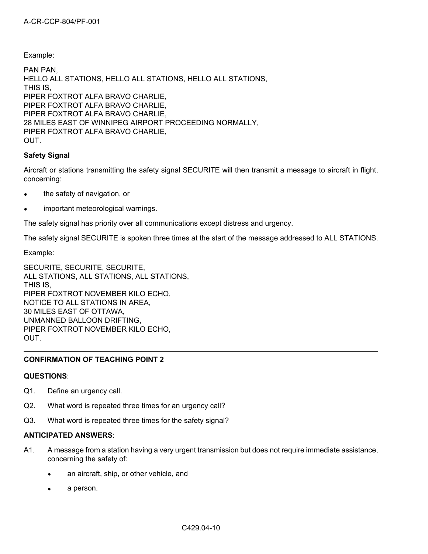Example:

PAN PAN, HELLO ALL STATIONS, HELLO ALL STATIONS, HELLO ALL STATIONS, THIS IS, PIPER FOXTROT ALFA BRAVO CHARLIE, PIPER FOXTROT ALFA BRAVO CHARLIE, PIPER FOXTROT ALFA BRAVO CHARLIE, 28 MILES EAST OF WINNIPEG AIRPORT PROCEEDING NORMALLY, PIPER FOXTROT ALFA BRAVO CHARLIE, OUT.

## **Safety Signal**

Aircraft or stations transmitting the safety signal SECURITE will then transmit a message to aircraft in flight, concerning:

- the safety of navigation, or
- important meteorological warnings.

The safety signal has priority over all communications except distress and urgency.

The safety signal SECURITE is spoken three times at the start of the message addressed to ALL STATIONS.

Example:

SECURITE, SECURITE, SECURITE, ALL STATIONS, ALL STATIONS, ALL STATIONS, THIS IS, PIPER FOXTROT NOVEMBER KILO ECHO, NOTICE TO ALL STATIONS IN AREA, 30 MILES EAST OF OTTAWA, UNMANNED BALLOON DRIFTING, PIPER FOXTROT NOVEMBER KILO ECHO, OUT.

## **CONFIRMATION OF TEACHING POINT 2**

#### **QUESTIONS**:

- Q1. Define an urgency call.
- Q2. What word is repeated three times for an urgency call?
- Q3. What word is repeated three times for the safety signal?

## **ANTICIPATED ANSWERS**:

- A1. A message from a station having a very urgent transmission but does not require immediate assistance, concerning the safety of:
	- an aircraft, ship, or other vehicle, and
	- a person. $\bullet$